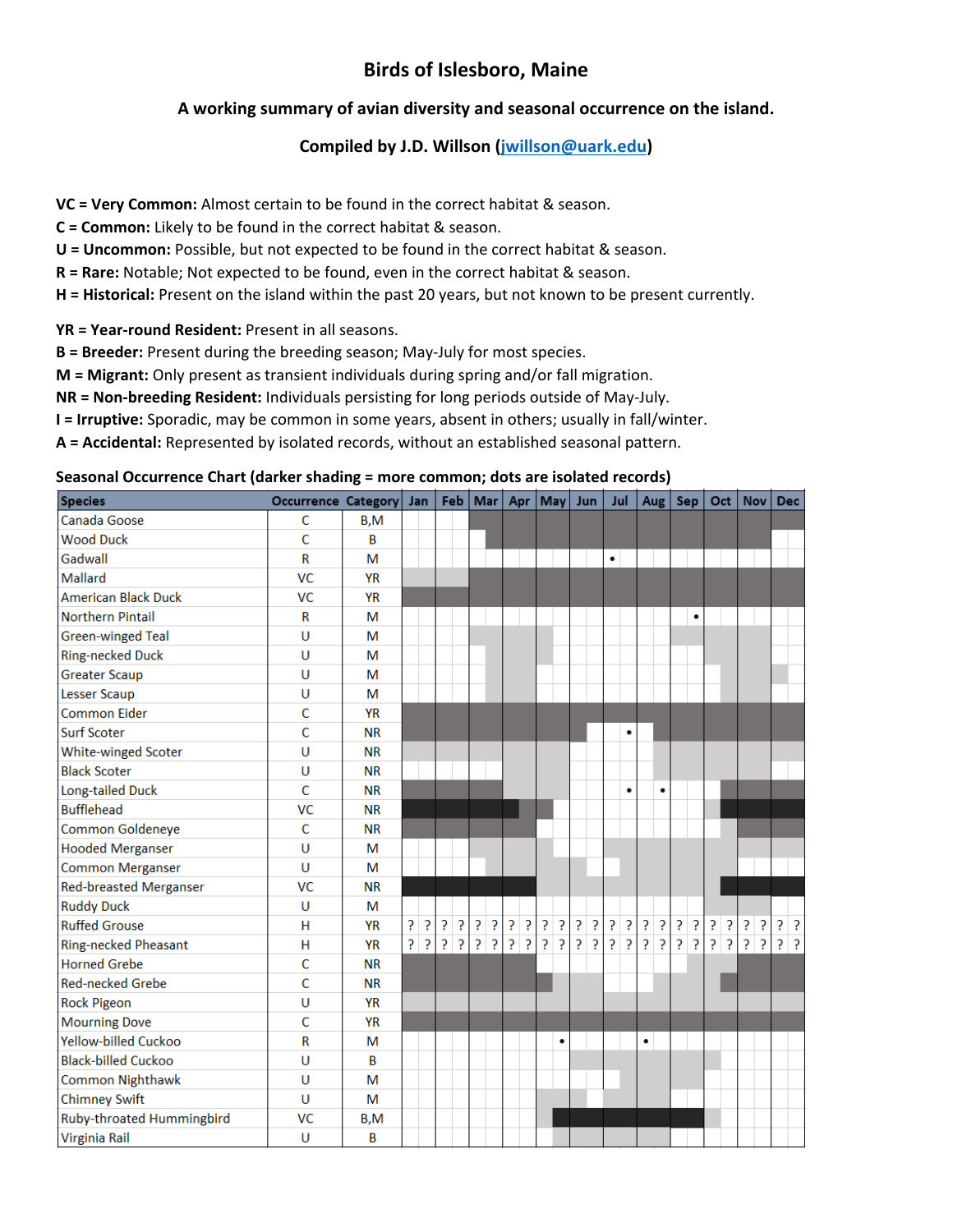# **Birds of Islesboro, Maine**

### **A working summary of avian diversity and seasonal occurrence on the island.**

## **Compiled by J.D. Willson (jwillson@uark.edu)**

**VC = Very Common:** Almost certain to be found in the correct habitat & season.

- **C = Common:** Likely to be found in the correct habitat & season.
- **U = Uncommon:** Possible, but not expected to be found in the correct habitat & season.

**R = Rare:** Notable; Not expected to be found, even in the correct habitat & season.

**H = Historical:** Present on the island within the past 20 years, but not known to be present currently.

**YR = Year‐round Resident:** Present in all seasons.

**B = Breeder:** Present during the breeding season; May‐July for most species.

**M = Migrant:** Only present as transient individuals during spring and/or fall migration.

**NR = Non‐breeding Resident:** Individuals persisting for long periods outside of May‐July.

**I = Irruptive:** Sporadic, may be common in some years, absent in others; usually in fall/winter.

**A = Accidental:** Represented by isolated records, without an established seasonal pattern.

#### **Seasonal Occurrence Chart (darker shading = more common; dots are isolated records)**

| <b>Species</b>                | Occurrence Category Jan |           |   |                | Feb                           |                | Mar   Apr $ May $ |              |                             |                |                | Jun            |                | Jul |              |              | <b>Aug</b>     |                | <b>Sep</b>                    | Oct                           | <b>Nov</b> | <b>Dec</b>                  |
|-------------------------------|-------------------------|-----------|---|----------------|-------------------------------|----------------|-------------------|--------------|-----------------------------|----------------|----------------|----------------|----------------|-----|--------------|--------------|----------------|----------------|-------------------------------|-------------------------------|------------|-----------------------------|
| Canada Goose                  | $\mathsf{C}$            | B,M       |   |                |                               |                |                   |              |                             |                |                |                |                |     |              |              |                |                |                               |                               |            |                             |
| <b>Wood Duck</b>              | Ċ                       | B         |   |                |                               |                |                   |              |                             |                |                |                |                |     |              |              |                |                |                               |                               |            |                             |
| Gadwall                       | R                       | M         |   |                |                               |                |                   |              |                             |                |                |                |                | ۰   |              |              |                |                |                               |                               |            |                             |
| Mallard                       | <b>VC</b>               | <b>YR</b> |   |                |                               |                |                   |              |                             |                |                |                |                |     |              |              |                |                |                               |                               |            |                             |
| <b>American Black Duck</b>    | <b>VC</b>               | <b>YR</b> |   |                |                               |                |                   |              |                             |                |                |                |                |     |              |              |                |                |                               |                               |            |                             |
| <b>Northern Pintail</b>       | $\mathsf{R}$            | M         |   |                |                               |                |                   |              |                             |                |                |                |                |     |              |              |                |                | $\bullet$                     |                               |            |                             |
| <b>Green-winged Teal</b>      | U                       | M         |   |                |                               |                |                   |              |                             |                |                |                |                |     |              |              |                |                |                               |                               |            |                             |
| <b>Ring-necked Duck</b>       | U                       | M         |   |                |                               |                |                   |              |                             |                |                |                |                |     |              |              |                |                |                               |                               |            |                             |
| <b>Greater Scaup</b>          | $\cup$                  | M         |   |                |                               |                |                   |              |                             |                |                |                |                |     |              |              |                |                |                               |                               |            |                             |
| <b>Lesser Scaup</b>           | $\cup$                  | M         |   |                |                               |                |                   |              |                             |                |                |                |                |     |              |              |                |                |                               |                               |            |                             |
| <b>Common Eider</b>           | C                       | <b>YR</b> |   |                |                               |                |                   |              |                             |                |                |                |                |     |              |              |                |                |                               |                               |            |                             |
| <b>Surf Scoter</b>            | C                       | <b>NR</b> |   |                |                               |                |                   |              |                             |                |                |                |                |     | ۰            |              |                |                |                               |                               |            |                             |
| White-winged Scoter           | U                       | <b>NR</b> |   |                |                               |                |                   |              |                             |                |                |                |                |     |              |              |                |                |                               |                               |            |                             |
| <b>Black Scoter</b>           | U                       | <b>NR</b> |   |                |                               |                |                   |              |                             |                |                |                |                |     |              |              |                |                |                               |                               |            |                             |
| <b>Long-tailed Duck</b>       | Ċ                       | <b>NR</b> |   |                |                               |                |                   |              |                             |                |                |                |                |     | $\bullet$    |              | ۰              |                |                               |                               |            |                             |
| <b>Bufflehead</b>             | <b>VC</b>               | <b>NR</b> |   |                |                               |                |                   |              |                             |                |                |                |                |     |              |              |                |                |                               |                               |            |                             |
| Common Goldeneye              | $\mathsf{C}$            | <b>NR</b> |   |                |                               |                |                   |              |                             |                |                |                |                |     |              |              |                |                |                               |                               |            |                             |
| <b>Hooded Merganser</b>       | $\cup$                  | M         |   |                |                               |                |                   |              |                             |                |                |                |                |     |              |              |                |                |                               |                               |            |                             |
| <b>Common Merganser</b>       | $\cup$                  | M         |   |                |                               |                |                   |              |                             |                |                |                |                |     |              |              |                |                |                               |                               |            |                             |
| <b>Red-breasted Merganser</b> | <b>VC</b>               | <b>NR</b> |   |                |                               |                |                   |              |                             |                |                |                |                |     |              |              |                |                |                               |                               |            |                             |
| <b>Ruddy Duck</b>             | U                       | M         |   |                |                               |                |                   |              |                             |                |                |                |                |     |              |              |                |                |                               |                               |            |                             |
| <b>Ruffed Grouse</b>          | H                       | <b>YR</b> | Ş | <sup>2</sup>   | <sup>2</sup>                  | $\overline{?}$ | $\mathbf{P}$      | <sup>2</sup> | $\left  \cdot \right $<br>P | <sup>2</sup>   | $\overline{?}$ | $\overline{?}$ | $\overline{?}$ | P   | $\mathbf{P}$ | <sup>2</sup> | $\overline{?}$ |                | $\overline{5}$ $\overline{5}$ | $?$ ?                         | $?$ ?      | $\frac{1}{2}$ $\frac{1}{2}$ |
| Ring-necked Pheasant          | н                       | <b>YR</b> | ş | $\overline{?}$ | $\overline{3}$ $\overline{3}$ |                | 3 <sup>1</sup>    |              | $3 - 5$                     | $\overline{?}$ | $\overline{?}$ | $\overline{?}$ | $\overline{?}$ | ş   | <sup>2</sup> | <sup>2</sup> | $\overline{?}$ | $\overline{?}$ | $\overline{?}$                | $\overline{5}$ $\overline{5}$ | $?$ ?      | $\frac{1}{2}$               |
| <b>Horned Grebe</b>           | C                       | <b>NR</b> |   |                |                               |                |                   |              |                             |                |                |                |                |     |              |              |                |                |                               |                               |            |                             |
| <b>Red-necked Grebe</b>       | Ċ                       | <b>NR</b> |   |                |                               |                |                   |              |                             |                |                |                |                |     |              |              |                |                |                               |                               |            |                             |
| <b>Rock Pigeon</b>            | U                       | <b>YR</b> |   |                |                               |                |                   |              |                             |                |                |                |                |     |              |              |                |                |                               |                               |            |                             |
| <b>Mourning Dove</b>          | Ċ                       | <b>YR</b> |   |                |                               |                |                   |              |                             |                |                |                |                |     |              |              |                |                |                               |                               |            |                             |
| Yellow-billed Cuckoo          | $\mathsf{R}$            | M         |   |                |                               |                |                   |              |                             |                | $\bullet$      |                |                |     |              | ۰            |                |                |                               |                               |            |                             |
| <b>Black-billed Cuckoo</b>    | U                       | B         |   |                |                               |                |                   |              |                             |                |                |                |                |     |              |              |                |                |                               |                               |            |                             |
| Common Nighthawk              | U                       | M         |   |                |                               |                |                   |              |                             |                |                |                |                |     |              |              |                |                |                               |                               |            |                             |
| <b>Chimney Swift</b>          | U                       | M         |   |                |                               |                |                   |              |                             |                |                |                |                |     |              |              |                |                |                               |                               |            |                             |
| Ruby-throated Hummingbird     | <b>VC</b>               | B,M       |   |                |                               |                |                   |              |                             |                |                |                |                |     |              |              |                |                |                               |                               |            |                             |
| <b>Virginia Rail</b>          | U                       | B         |   |                |                               |                |                   |              |                             |                |                |                |                |     |              |              |                |                |                               |                               |            |                             |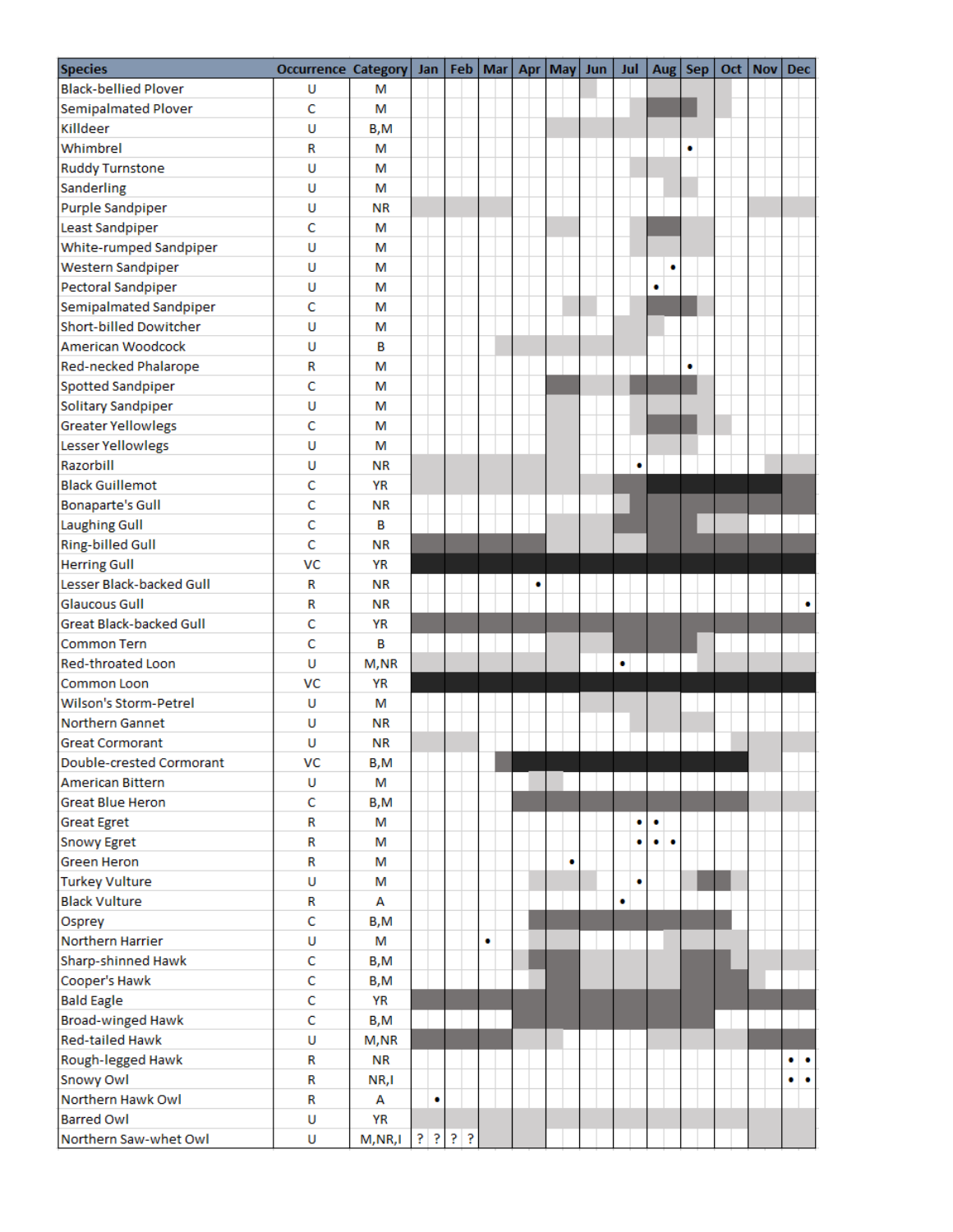| <b>Species</b>                                | Occurrence Category |           | Jan |         |   |   | Feb   Mar   Apr   May   Jun | Jul            |   | Aug   Sep | Oct   Nov | <b>Dec</b>      |
|-----------------------------------------------|---------------------|-----------|-----|---------|---|---|-----------------------------|----------------|---|-----------|-----------|-----------------|
| <b>Black-bellied Plover</b>                   | U                   | м         |     |         |   |   |                             |                |   |           |           |                 |
| <b>Semipalmated Plover</b>                    | с                   | м         |     |         |   |   |                             |                |   |           |           |                 |
| Killdeer                                      | U                   | B,M       |     |         |   |   |                             |                |   |           |           |                 |
| Whimbrel                                      | R                   | м         |     |         |   |   |                             |                |   | ۰         |           |                 |
| <b>Ruddy Turnstone</b>                        | U                   | м         |     |         |   |   |                             |                |   |           |           |                 |
| Sanderling                                    | U                   | м         |     |         |   |   |                             |                |   |           |           |                 |
| Purple Sandpiper                              | U                   | ΝR        |     |         |   |   |                             |                |   |           |           |                 |
| Least Sandpiper                               | c                   | м         |     |         |   |   |                             |                |   |           |           |                 |
| White-rumped Sandpiper                        | U                   | м         |     |         |   |   |                             |                |   |           |           |                 |
| Western Sandpiper                             | U                   | м         |     |         |   |   |                             |                | ۰ |           |           |                 |
| Pectoral Sandpiper                            | U                   | м         |     |         |   |   |                             |                | ۰ |           |           |                 |
| Semipalmated Sandpiper                        | c                   | м         |     |         |   |   |                             |                |   |           |           |                 |
| <b>Short-billed Dowitcher</b>                 | U                   | м         |     |         |   |   |                             |                |   |           |           |                 |
| American Woodcock                             | U                   | в         |     |         |   |   |                             |                |   |           |           |                 |
| Red-necked Phalarope                          | R                   | м         |     |         |   |   |                             |                |   | ۰         |           |                 |
| Spotted Sandpiper                             | Ċ                   | м         |     |         |   |   |                             |                |   |           |           |                 |
| Solitary Sandpiper                            | U                   | м         |     |         |   |   |                             |                |   |           |           |                 |
| <b>Greater Yellowlegs</b>                     | c                   | М         |     |         |   |   |                             |                |   |           |           |                 |
| Lesser Yellowlegs                             | U                   | м         |     |         |   |   |                             |                |   |           |           |                 |
| Razorbill                                     | U                   | <b>NR</b> |     |         |   |   |                             | $\bullet$      |   |           |           |                 |
| <b>Black Guillemot</b>                        | c                   | YR        |     |         |   |   |                             |                |   |           |           |                 |
| <b>Bonaparte's Gull</b>                       | c                   | <b>NR</b> |     |         |   |   |                             |                |   |           |           |                 |
| <b>Laughing Gull</b>                          | c                   | в         |     |         |   |   |                             |                |   |           |           |                 |
| <b>Ring-billed Gull</b>                       | c                   | <b>NR</b> |     |         |   |   |                             |                |   |           |           |                 |
| <b>Herring Gull</b>                           | vc                  | YR        |     |         |   |   |                             |                |   |           |           |                 |
| Lesser Black-backed Gull                      | R                   | <b>NR</b> |     |         |   | ۰ |                             |                |   |           |           |                 |
| <b>Glaucous Gull</b>                          | R                   | <b>NR</b> |     |         |   |   |                             |                |   |           |           | ٠               |
| <b>Great Black-backed Gull</b>                | c                   | YR        |     |         |   |   |                             |                |   |           |           |                 |
| <b>Common Tern</b>                            | c                   | в         |     |         |   |   |                             |                |   |           |           |                 |
| Red-throated Loon                             | U                   | M,NR      |     |         |   |   |                             | ۰              |   |           |           |                 |
| Common Loon                                   | VC                  | YR        |     |         |   |   |                             |                |   |           |           |                 |
| Wilson's Storm-Petrel                         | U                   | м         |     |         |   |   |                             |                |   |           |           |                 |
| Northern Gannet                               | U                   | ΝR        |     |         |   |   |                             |                |   |           |           |                 |
| <b>Great Cormorant</b>                        | U                   | <b>NR</b> |     |         |   |   |                             |                |   |           |           |                 |
| Double-crested Cormorant                      | VC                  | B,M       |     |         |   |   |                             |                |   |           |           |                 |
| American Bittern                              | U                   | M         |     |         |   |   |                             |                |   |           |           |                 |
| <b>Great Blue Heron</b>                       | Ċ                   | B,M       |     |         |   |   |                             |                |   |           |           |                 |
|                                               |                     |           |     |         |   |   |                             |                |   |           |           |                 |
| <b>Great Egret</b>                            | R                   | М         |     |         |   |   |                             | ٠<br>$\bullet$ | ٠ |           |           |                 |
| <b>Snowy Egret</b><br><b>Green Heron</b>      | R                   | М         |     |         |   |   | $\bullet$                   |                |   |           |           |                 |
|                                               | R<br>U              | м<br>М    |     |         |   |   |                             | ٠              |   |           |           |                 |
| <b>Turkey Vulture</b><br><b>Black Vulture</b> |                     | А         |     |         |   |   |                             | ۰              |   |           |           |                 |
|                                               | R                   |           |     |         |   |   |                             |                |   |           |           |                 |
| Osprey<br>Northern Harrier                    | c                   | B,M       |     |         |   |   |                             |                |   |           |           |                 |
|                                               | U                   | M         |     |         | ۰ |   |                             |                |   |           |           |                 |
| Sharp-shinned Hawk                            | Ċ                   | B,M       |     |         |   |   |                             |                |   |           |           |                 |
| Cooper's Hawk                                 | C                   | B,M       |     |         |   |   |                             |                |   |           |           |                 |
| <b>Bald Eagle</b>                             | C                   | <b>YR</b> |     |         |   |   |                             |                |   |           |           |                 |
| <b>Broad-winged Hawk</b>                      | $\mathsf C$         | B,M       |     |         |   |   |                             |                |   |           |           |                 |
| <b>Red-tailed Hawk</b>                        | U                   | M,NR      |     |         |   |   |                             |                |   |           |           |                 |
| Rough-legged Hawk                             | R                   | <b>NR</b> |     |         |   |   |                             |                |   |           |           | $\cdot$ $\cdot$ |
| Snowy Owl                                     | R                   | NR,I      |     |         |   |   |                             |                |   |           |           | ۰<br>$\bullet$  |
| Northern Hawk Owl                             | R                   | А         | ۰   |         |   |   |                             |                |   |           |           |                 |
| <b>Barred Owl</b>                             | U                   | YR        |     |         |   |   |                             |                |   |           |           |                 |
| Northern Saw-whet Owl                         | U                   | M,NR,I    |     | ? ? ? ? |   |   |                             |                |   |           |           |                 |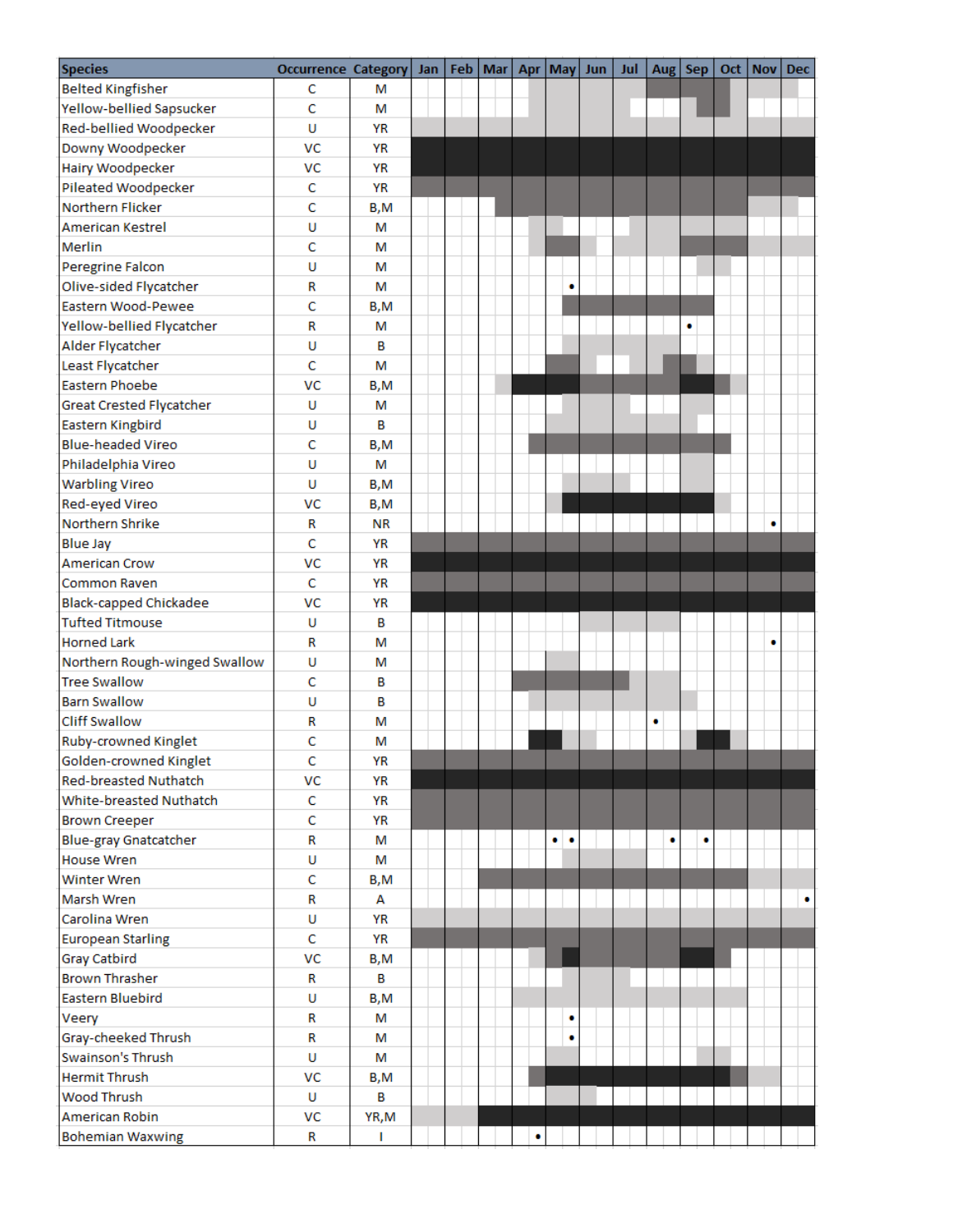| <b>Species</b>                  | <b>Occurrence Category</b> |           | Jan | Feb | <b>Mar</b> |   | Apr May   | Jun | Jul |   | Aug   Sep | Oct <sub>1</sub> | <b>Nov</b> | <b>Dec</b> |
|---------------------------------|----------------------------|-----------|-----|-----|------------|---|-----------|-----|-----|---|-----------|------------------|------------|------------|
| <b>Belted Kingfisher</b>        | C                          | м         |     |     |            |   |           |     |     |   |           |                  |            |            |
| Yellow-bellied Sapsucker        | $\mathbf C$                | м         |     |     |            |   |           |     |     |   |           |                  |            |            |
| <b>Red-bellied Woodpecker</b>   | U                          | <b>YR</b> |     |     |            |   |           |     |     |   |           |                  |            |            |
| Downy Woodpecker                | <b>VC</b>                  | <b>YR</b> |     |     |            |   |           |     |     |   |           |                  |            |            |
| Hairy Woodpecker                | VC                         | YR        |     |     |            |   |           |     |     |   |           |                  |            |            |
| Pileated Woodpecker             | c                          | <b>YR</b> |     |     |            |   |           |     |     |   |           |                  |            |            |
| <b>Northern Flicker</b>         | $\mathsf{C}$               | B,M       |     |     |            |   |           |     |     |   |           |                  |            |            |
| American Kestrel                | U                          | м         |     |     |            |   |           |     |     |   |           |                  |            |            |
| Merlin                          | C                          | м         |     |     |            |   |           |     |     |   |           |                  |            |            |
| Peregrine Falcon                | U                          | м         |     |     |            |   |           |     |     |   |           |                  |            |            |
| Olive-sided Flycatcher          | R                          | м         |     |     |            |   | ۰         |     |     |   |           |                  |            |            |
| Eastern Wood-Pewee              | $\mathbf C$                | B,M       |     |     |            |   |           |     |     |   |           |                  |            |            |
| Yellow-bellied Flycatcher       | R                          | М         |     |     |            |   |           |     |     |   | ۰         |                  |            |            |
| Alder Flycatcher                | U                          | B         |     |     |            |   |           |     |     |   |           |                  |            |            |
| Least Flycatcher                | C                          | м         |     |     |            |   |           |     |     |   |           |                  |            |            |
| <b>Eastern Phoebe</b>           | VC                         | B,M       |     |     |            |   |           |     |     |   |           |                  |            |            |
| <b>Great Crested Flycatcher</b> | U                          | м         |     |     |            |   |           |     |     |   |           |                  |            |            |
| <b>Eastern Kingbird</b>         | U                          | в         |     |     |            |   |           |     |     |   |           |                  |            |            |
| <b>Blue-headed Vireo</b>        | $\mathbf C$                | B,M       |     |     |            |   |           |     |     |   |           |                  |            |            |
| Philadelphia Vireo              | U                          | м         |     |     |            |   |           |     |     |   |           |                  |            |            |
| <b>Warbling Vireo</b>           | U                          | B,M       |     |     |            |   |           |     |     |   |           |                  |            |            |
| Red-eyed Vireo                  | <b>VC</b>                  | B,M       |     |     |            |   |           |     |     |   |           |                  |            |            |
| Northern Shrike                 | R                          | <b>NR</b> |     |     |            |   |           |     |     |   |           |                  | $\bullet$  |            |
| <b>Blue Jay</b>                 | $\mathbf{C}$               | YR        |     |     |            |   |           |     |     |   |           |                  |            |            |
| <b>American Crow</b>            | <b>VC</b>                  | YR        |     |     |            |   |           |     |     |   |           |                  |            |            |
| Common Raven                    | c                          | YR        |     |     |            |   |           |     |     |   |           |                  |            |            |
| Black-capped Chickadee          | <b>VC</b>                  | YR        |     |     |            |   |           |     |     |   |           |                  |            |            |
| <b>Tufted Titmouse</b>          | U                          | в         |     |     |            |   |           |     |     |   |           |                  |            |            |
| <b>Horned Lark</b>              | R                          | м         |     |     |            |   |           |     |     |   |           |                  | ٠          |            |
| Northern Rough-winged Swallow   | U                          | М         |     |     |            |   |           |     |     |   |           |                  |            |            |
| <b>Tree Swallow</b>             | C                          | B         |     |     |            |   |           |     |     |   |           |                  |            |            |
| <b>Barn Swallow</b>             | U                          | B         |     |     |            |   |           |     |     |   |           |                  |            |            |
| <b>Cliff Swallow</b>            | R                          | M         |     |     |            |   |           |     |     | ٠ |           |                  |            |            |
| <b>Ruby-crowned Kinglet</b>     | $\mathbf C$                | М         |     |     |            |   |           |     |     |   |           |                  |            |            |
| Golden-crowned Kinglet          | c                          | YR        |     |     |            |   |           |     |     |   |           |                  |            |            |
| Red-breasted Nuthatch           | <b>VC</b>                  | YR        |     |     |            |   |           |     |     |   |           |                  |            |            |
| White-breasted Nuthatch         | c                          | YR        |     |     |            |   |           |     |     |   |           |                  |            |            |
| <b>Brown Creeper</b>            | c                          | YR        |     |     |            |   |           |     |     |   |           |                  |            |            |
| <b>Blue-gray Gnatcatcher</b>    | R                          | M         |     |     |            |   | $\bullet$ |     |     | ٠ | $\bullet$ |                  |            |            |
| <b>House Wren</b>               | U                          | м         |     |     |            |   |           |     |     |   |           |                  |            |            |
| <b>Winter Wren</b>              | c                          | B,M       |     |     |            |   |           |     |     |   |           |                  |            |            |
| Marsh Wren                      | R                          | A         |     |     |            |   |           |     |     |   |           |                  |            | ۰          |
| Carolina Wren                   | U                          | YR        |     |     |            |   |           |     |     |   |           |                  |            |            |
| <b>European Starling</b>        | c                          | YR        |     |     |            |   |           |     |     |   |           |                  |            |            |
| <b>Gray Catbird</b>             | VC                         | B,M       |     |     |            |   |           |     |     |   |           |                  |            |            |
| <b>Brown Thrasher</b>           | R                          | B         |     |     |            |   |           |     |     |   |           |                  |            |            |
| <b>Eastern Bluebird</b>         | U                          | B,M       |     |     |            |   |           |     |     |   |           |                  |            |            |
| Veery                           | R                          | М         |     |     |            |   | ۰         |     |     |   |           |                  |            |            |
| Gray-cheeked Thrush             | R                          | м         |     |     |            |   | ۰         |     |     |   |           |                  |            |            |
| Swainson's Thrush               | U                          | м         |     |     |            |   |           |     |     |   |           |                  |            |            |
| <b>Hermit Thrush</b>            | VC                         | B,M       |     |     |            |   |           |     |     |   |           |                  |            |            |
| <b>Wood Thrush</b>              | U                          | в         |     |     |            |   |           |     |     |   |           |                  |            |            |
| American Robin                  | VC                         | YR,M      |     |     |            |   |           |     |     |   |           |                  |            |            |
| <b>Bohemian Waxwing</b>         | R                          | ı         |     |     |            | ۰ |           |     |     |   |           |                  |            |            |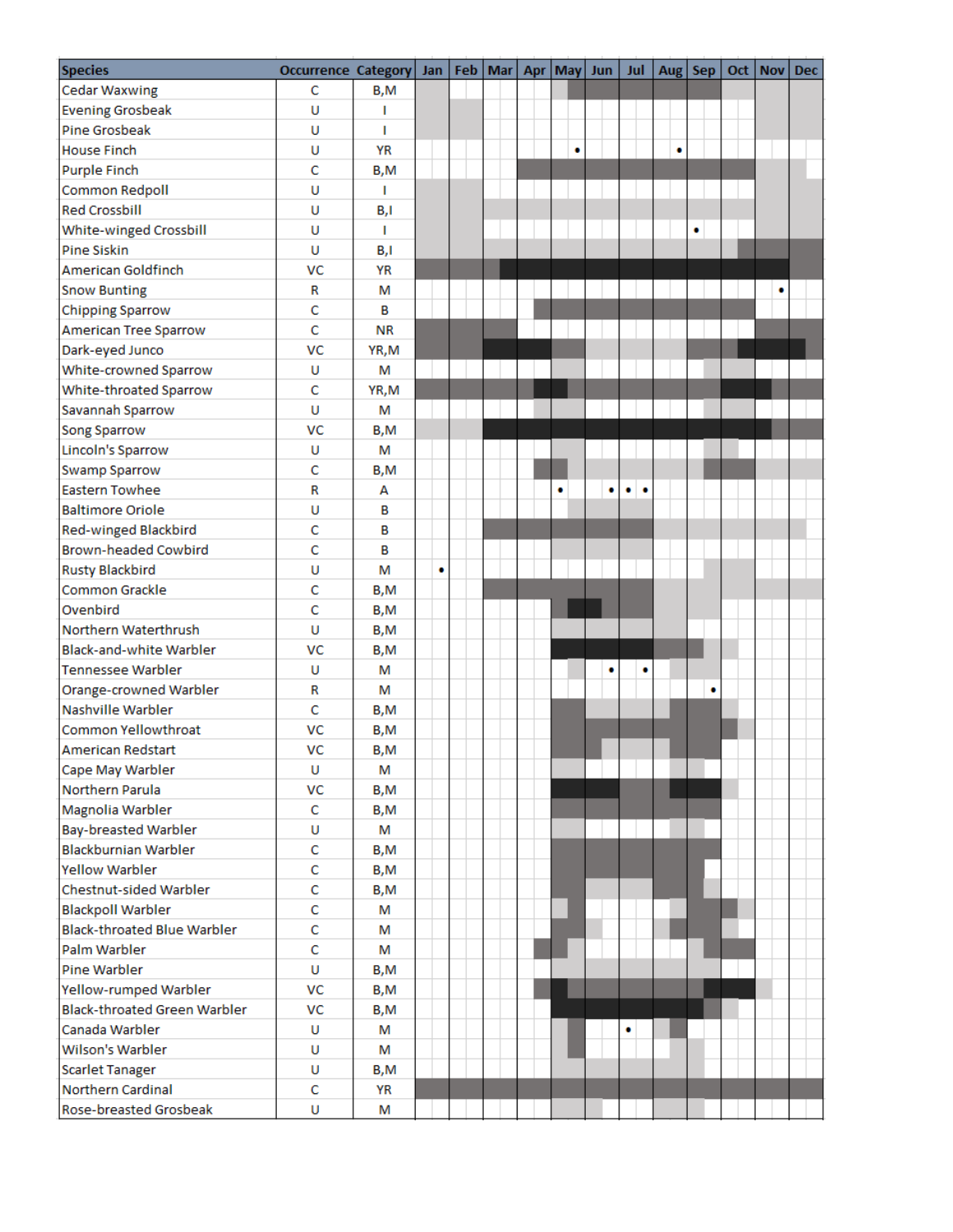| <b>Species</b>                     | Occurrence Category |           | Jan | Feb | Mar | Apr   May   Jun |   | Jul      |   | Aug Sep | Oct <sub>1</sub> | <b>Nov</b> | <b>Dec</b> |
|------------------------------------|---------------------|-----------|-----|-----|-----|-----------------|---|----------|---|---------|------------------|------------|------------|
| <b>Cedar Waxwing</b>               | C                   | B,M       |     |     |     |                 |   |          |   |         |                  |            |            |
| <b>Evening Grosbeak</b>            | U                   | т         |     |     |     |                 |   |          |   |         |                  |            |            |
| <b>Pine Grosbeak</b>               | U                   | т         |     |     |     |                 |   |          |   |         |                  |            |            |
| <b>House Finch</b>                 | U                   | YR        |     |     |     | ۰               |   |          | ۰ |         |                  |            |            |
| <b>Purple Finch</b>                | C                   | B,M       |     |     |     |                 |   |          |   |         |                  |            |            |
| <b>Common Redpoll</b>              | U                   | I         |     |     |     |                 |   |          |   |         |                  |            |            |
| <b>Red Crossbill</b>               | U                   | B,I       |     |     |     |                 |   |          |   |         |                  |            |            |
| White-winged Crossbill             | U                   | т         |     |     |     |                 |   |          |   | ۰       |                  |            |            |
| <b>Pine Siskin</b>                 | U                   | B,I       |     |     |     |                 |   |          |   |         |                  |            |            |
| American Goldfinch                 | VC                  | <b>YR</b> |     |     |     |                 |   |          |   |         |                  |            |            |
| <b>Snow Bunting</b>                | R                   | м         |     |     |     |                 |   |          |   |         |                  | ۰          |            |
| <b>Chipping Sparrow</b>            | Ċ                   | в         |     |     |     |                 |   |          |   |         |                  |            |            |
| American Tree Sparrow              | Ċ                   | <b>NR</b> |     |     |     |                 |   |          |   |         |                  |            |            |
| Dark-eyed Junco                    | VC                  | YR,M      |     |     |     |                 |   |          |   |         |                  |            |            |
| White-crowned Sparrow              | U                   | М         |     |     |     |                 |   |          |   |         |                  |            |            |
| White-throated Sparrow             | Ċ                   | YR,M      |     |     |     |                 |   |          |   |         |                  |            |            |
| Savannah Sparrow                   | U                   | м         |     |     |     |                 |   |          |   |         |                  |            |            |
| Song Sparrow                       | VC                  | B,M       |     |     |     |                 |   |          |   |         |                  |            |            |
| <b>Lincoln's Sparrow</b>           | U                   | м         |     |     |     |                 |   |          |   |         |                  |            |            |
| <b>Swamp Sparrow</b>               | C                   | B,M       |     |     |     |                 |   |          |   |         |                  |            |            |
| <b>Eastern Towhee</b>              | R                   | А         |     |     |     | ٠               | ٠ | . .<br>٠ |   |         |                  |            |            |
| <b>Baltimore Oriole</b>            | U                   | B         |     |     |     |                 |   |          |   |         |                  |            |            |
| <b>Red-winged Blackbird</b>        | Ċ                   | В         |     |     |     |                 |   |          |   |         |                  |            |            |
| <b>Brown-headed Cowbird</b>        | Ċ                   | в         |     |     |     |                 |   |          |   |         |                  |            |            |
| <b>Rusty Blackbird</b>             | U                   | м         | ٠   |     |     |                 |   |          |   |         |                  |            |            |
| Common Grackle                     | c                   | B,M       |     |     |     |                 |   |          |   |         |                  |            |            |
| Ovenbird                           | Ċ                   | B,M       |     |     |     |                 |   |          |   |         |                  |            |            |
| Northern Waterthrush               | U                   | B,M       |     |     |     |                 |   |          |   |         |                  |            |            |
| Black-and-white Warbler            | VC                  | B,M       |     |     |     |                 |   |          |   |         |                  |            |            |
| <b>Tennessee Warbler</b>           | U                   | м         |     |     |     |                 | ٠ | ۰        |   |         |                  |            |            |
| Orange-crowned Warbler             | R                   | м         |     |     |     |                 |   |          |   | ٠       |                  |            |            |
| Nashville Warbler                  | Ċ                   | B,M       |     |     |     |                 |   |          |   |         |                  |            |            |
| Common Yellowthroat                | VC                  | B,M       |     |     |     |                 |   |          |   |         |                  |            |            |
| American Redstart                  | VC                  | B,M       |     |     |     |                 |   |          |   |         |                  |            |            |
| Cape May Warbler                   | U                   | м         |     |     |     |                 |   |          |   |         |                  |            |            |
| Northern Parula                    | VC                  | B,M       |     |     |     |                 |   |          |   |         |                  |            |            |
| Magnolia Warbler                   | с                   | B,M       |     |     |     |                 |   |          |   |         |                  |            |            |
| Bay-breasted Warbler               | U                   | м         |     |     |     |                 |   |          |   |         |                  |            |            |
| <b>Blackburnian Warbler</b>        | Ċ                   | B,M       |     |     |     |                 |   |          |   |         |                  |            |            |
| Yellow Warbler                     | C                   | B,M       |     |     |     |                 |   |          |   |         |                  |            |            |
| Chestnut-sided Warbler             | c                   | B,M       |     |     |     |                 |   |          |   |         |                  |            |            |
| <b>Blackpoll Warbler</b>           | Ċ                   | М         |     |     |     |                 |   |          |   |         |                  |            |            |
| <b>Black-throated Blue Warbler</b> | Ċ                   | м         |     |     |     |                 |   |          |   |         |                  |            |            |
| Palm Warbler                       | C                   | м         |     |     |     |                 |   |          |   |         |                  |            |            |
| Pine Warbler                       | U                   | B,M       |     |     |     |                 |   |          |   |         |                  |            |            |
| Yellow-rumped Warbler              | VC                  | B,M       |     |     |     |                 |   |          |   |         |                  |            |            |
| Black-throated Green Warbler       | VC                  | B,M       |     |     |     |                 |   |          |   |         |                  |            |            |
| Canada Warbler                     | U                   | м         |     |     |     |                 |   | ٠        |   |         |                  |            |            |
| Wilson's Warbler                   | U                   | м         |     |     |     |                 |   |          |   |         |                  |            |            |
| <b>Scarlet Tanager</b>             | U                   | B,M       |     |     |     |                 |   |          |   |         |                  |            |            |
| Northern Cardinal                  | c                   | YR        |     |     |     |                 |   |          |   |         |                  |            |            |
| Rose-breasted Grosbeak             | U                   | M         |     |     |     |                 |   |          |   |         |                  |            |            |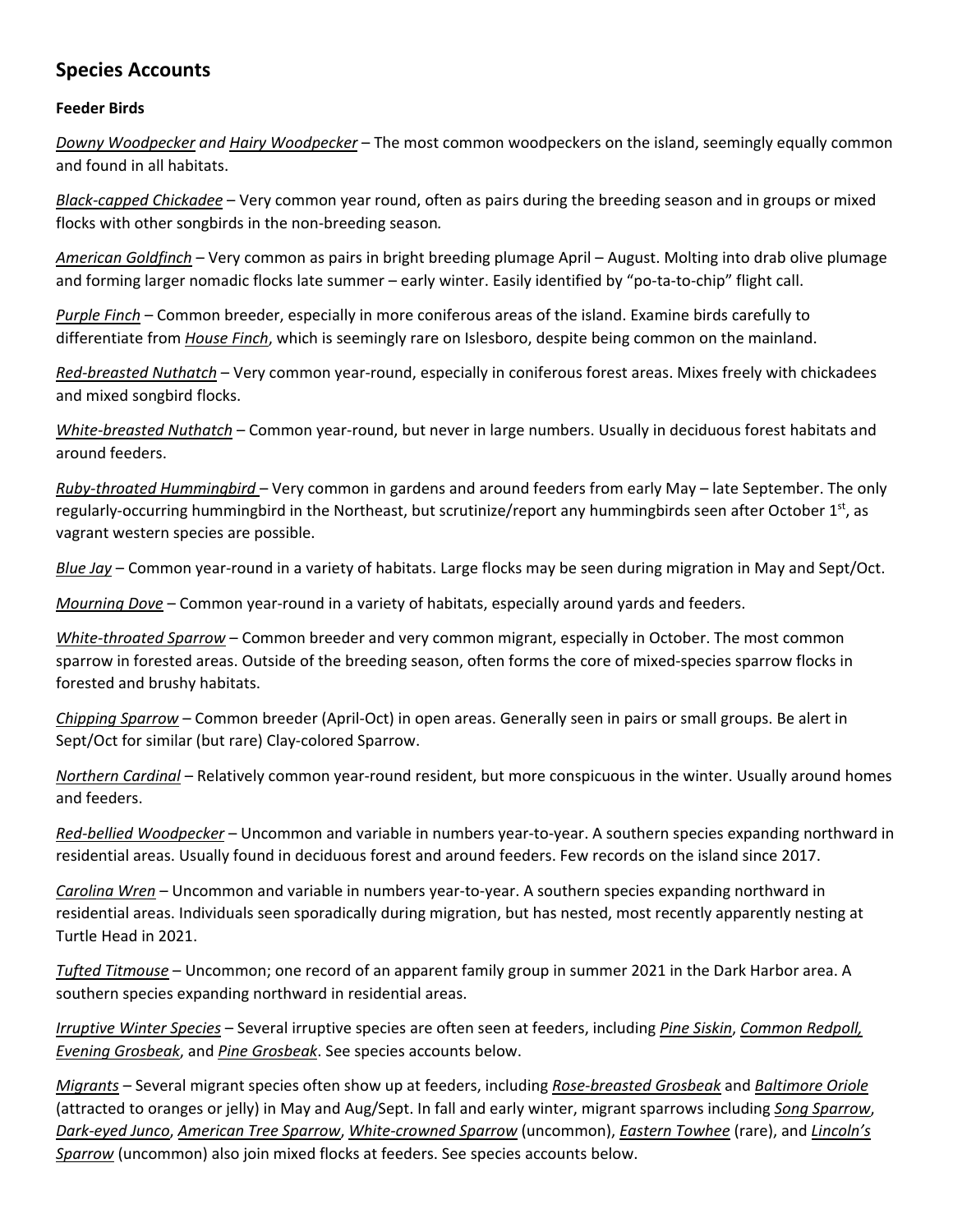# **Species Accounts**

### **Feeder Birds**

*Downy Woodpecker and Hairy Woodpecker* – The most common woodpeckers on the island, seemingly equally common and found in all habitats.

*Black‐capped Chickadee* – Very common year round, often as pairs during the breeding season and in groups or mixed flocks with other songbirds in the non‐breeding season*.*

*American Goldfinch* – Very common as pairs in bright breeding plumage April – August. Molting into drab olive plumage and forming larger nomadic flocks late summer – early winter. Easily identified by "po-ta-to-chip" flight call.

*Purple Finch* – Common breeder, especially in more coniferous areas of the island. Examine birds carefully to differentiate from *House Finch*, which is seemingly rare on Islesboro, despite being common on the mainland.

*Red‐breasted Nuthatch* – Very common year‐round, especially in coniferous forest areas. Mixes freely with chickadees and mixed songbird flocks.

*White‐breasted Nuthatch* – Common year‐round, but never in large numbers. Usually in deciduous forest habitats and around feeders.

*Ruby‐throated Hummingbird* – Very common in gardens and around feeders from early May – late September. The only regularly-occurring hummingbird in the Northeast, but scrutinize/report any hummingbirds seen after October 1<sup>st</sup>, as vagrant western species are possible.

*Blue Jay* – Common year‐round in a variety of habitats. Large flocks may be seen during migration in May and Sept/Oct.

*Mourning Dove* – Common year‐round in a variety of habitats, especially around yards and feeders.

*White‐throated Sparrow* – Common breeder and very common migrant, especially in October. The most common sparrow in forested areas. Outside of the breeding season, often forms the core of mixed-species sparrow flocks in forested and brushy habitats.

*Chipping Sparrow* – Common breeder (April‐Oct) in open areas. Generally seen in pairs or small groups. Be alert in Sept/Oct for similar (but rare) Clay‐colored Sparrow.

*Northern Cardinal* – Relatively common year‐round resident, but more conspicuous in the winter. Usually around homes and feeders.

*Red‐bellied Woodpecker* – Uncommon and variable in numbers year‐to‐year. A southern species expanding northward in residential areas. Usually found in deciduous forest and around feeders. Few records on the island since 2017.

*Carolina Wren* – Uncommon and variable in numbers year‐to‐year. A southern species expanding northward in residential areas. Individuals seen sporadically during migration, but has nested, most recently apparently nesting at Turtle Head in 2021.

*Tufted Titmouse* – Uncommon; one record of an apparent family group in summer 2021 in the Dark Harbor area. A southern species expanding northward in residential areas.

*Irruptive Winter Species* – Several irruptive species are often seen at feeders, including *Pine Siskin*, *Common Redpoll, Evening Grosbeak*, and *Pine Grosbeak*. See species accounts below.

*Migrants* – Several migrant species often show up at feeders, including *Rose‐breasted Grosbeak* and *Baltimore Oriole* (attracted to oranges or jelly) in May and Aug/Sept. In fall and early winter, migrant sparrows including *Song Sparrow*, *Dark‐eyed Junco*, *American Tree Sparrow*, *White‐crowned Sparrow* (uncommon), *Eastern Towhee* (rare), and *Lincoln's Sparrow* (uncommon) also join mixed flocks at feeders. See species accounts below.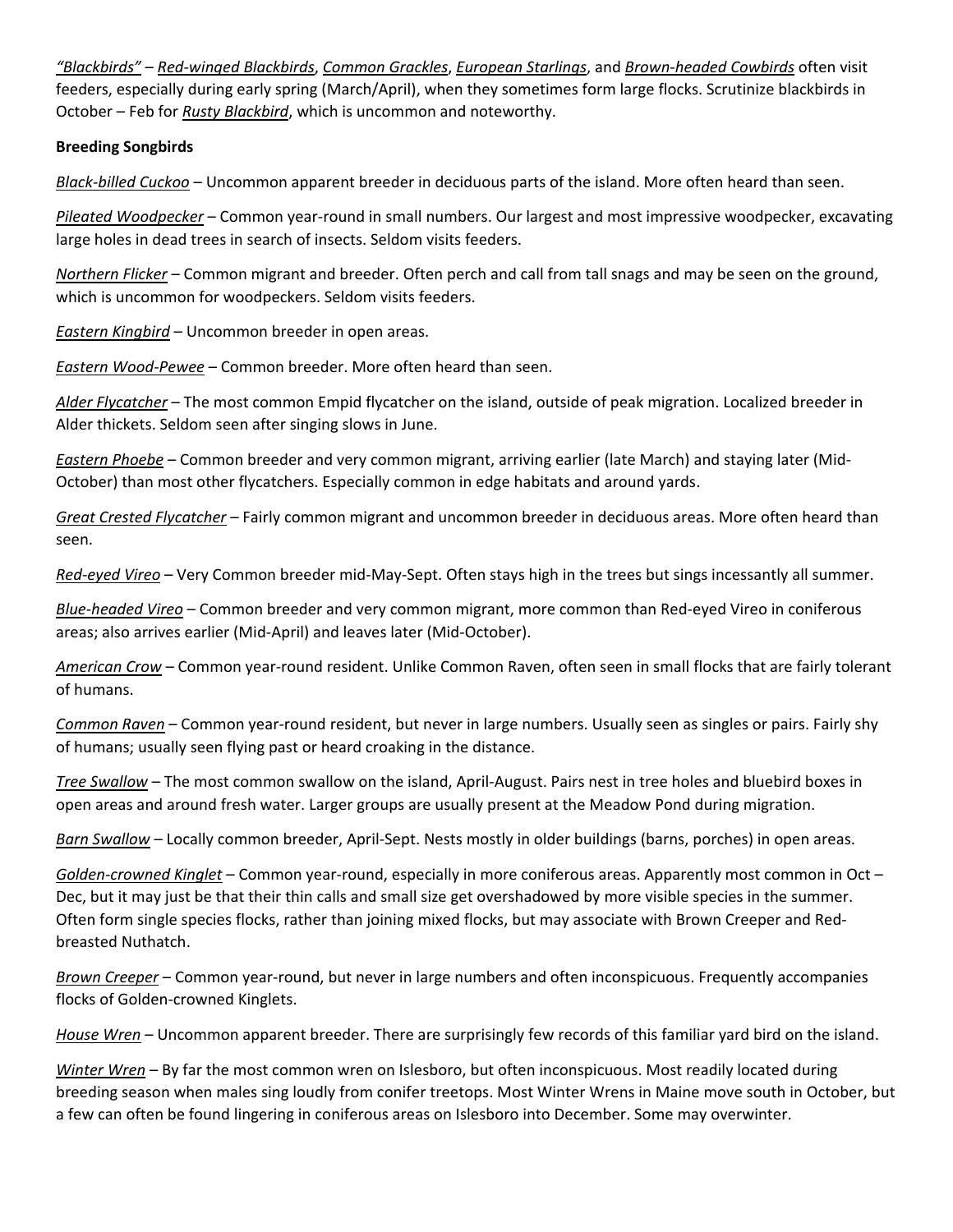*"Blackbirds"* – *Red‐winged Blackbirds*, *Common Grackles*, *European Starlings*, and *Brown‐headed Cowbirds* often visit feeders, especially during early spring (March/April), when they sometimes form large flocks. Scrutinize blackbirds in October – Feb for *Rusty Blackbird*, which is uncommon and noteworthy.

#### **Breeding Songbirds**

*Black‐billed Cuckoo* – Uncommon apparent breeder in deciduous parts of the island. More often heard than seen.

*Pileated Woodpecker* – Common year‐round in small numbers. Our largest and most impressive woodpecker, excavating large holes in dead trees in search of insects. Seldom visits feeders.

*Northern Flicker* – Common migrant and breeder. Often perch and call from tall snags and may be seen on the ground, which is uncommon for woodpeckers. Seldom visits feeders.

*Eastern Kingbird* – Uncommon breeder in open areas.

*Eastern Wood‐Pewee* – Common breeder. More often heard than seen.

*Alder Flycatcher* – The most common Empid flycatcher on the island, outside of peak migration. Localized breeder in Alder thickets. Seldom seen after singing slows in June.

*Eastern Phoebe* – Common breeder and very common migrant, arriving earlier (late March) and staying later (Mid‐ October) than most other flycatchers. Especially common in edge habitats and around yards.

*Great Crested Flycatcher* – Fairly common migrant and uncommon breeder in deciduous areas. More often heard than seen.

*Red‐eyed Vireo* – Very Common breeder mid‐May‐Sept. Often stays high in the trees but sings incessantly all summer.

*Blue‐headed Vireo* – Common breeder and very common migrant, more common than Red‐eyed Vireo in coniferous areas; also arrives earlier (Mid‐April) and leaves later (Mid‐October).

*American Crow* – Common year‐round resident. Unlike Common Raven, often seen in small flocks that are fairly tolerant of humans.

*Common Raven* – Common year‐round resident, but never in large numbers. Usually seen as singles or pairs. Fairly shy of humans; usually seen flying past or heard croaking in the distance.

*Tree Swallow* – The most common swallow on the island, April‐August. Pairs nest in tree holes and bluebird boxes in open areas and around fresh water. Larger groups are usually present at the Meadow Pond during migration.

*Barn Swallow* – Locally common breeder, April‐Sept. Nests mostly in older buildings (barns, porches) in open areas.

*Golden‐crowned Kinglet* – Common year‐round, especially in more coniferous areas. Apparently most common in Oct – Dec, but it may just be that their thin calls and small size get overshadowed by more visible species in the summer. Often form single species flocks, rather than joining mixed flocks, but may associate with Brown Creeper and Red‐ breasted Nuthatch.

*Brown Creeper* – Common year‐round, but never in large numbers and often inconspicuous. Frequently accompanies flocks of Golden‐crowned Kinglets.

*House Wren* – Uncommon apparent breeder. There are surprisingly few records of this familiar yard bird on the island.

*Winter Wren* – By far the most common wren on Islesboro, but often inconspicuous. Most readily located during breeding season when males sing loudly from conifer treetops. Most Winter Wrens in Maine move south in October, but a few can often be found lingering in coniferous areas on Islesboro into December. Some may overwinter.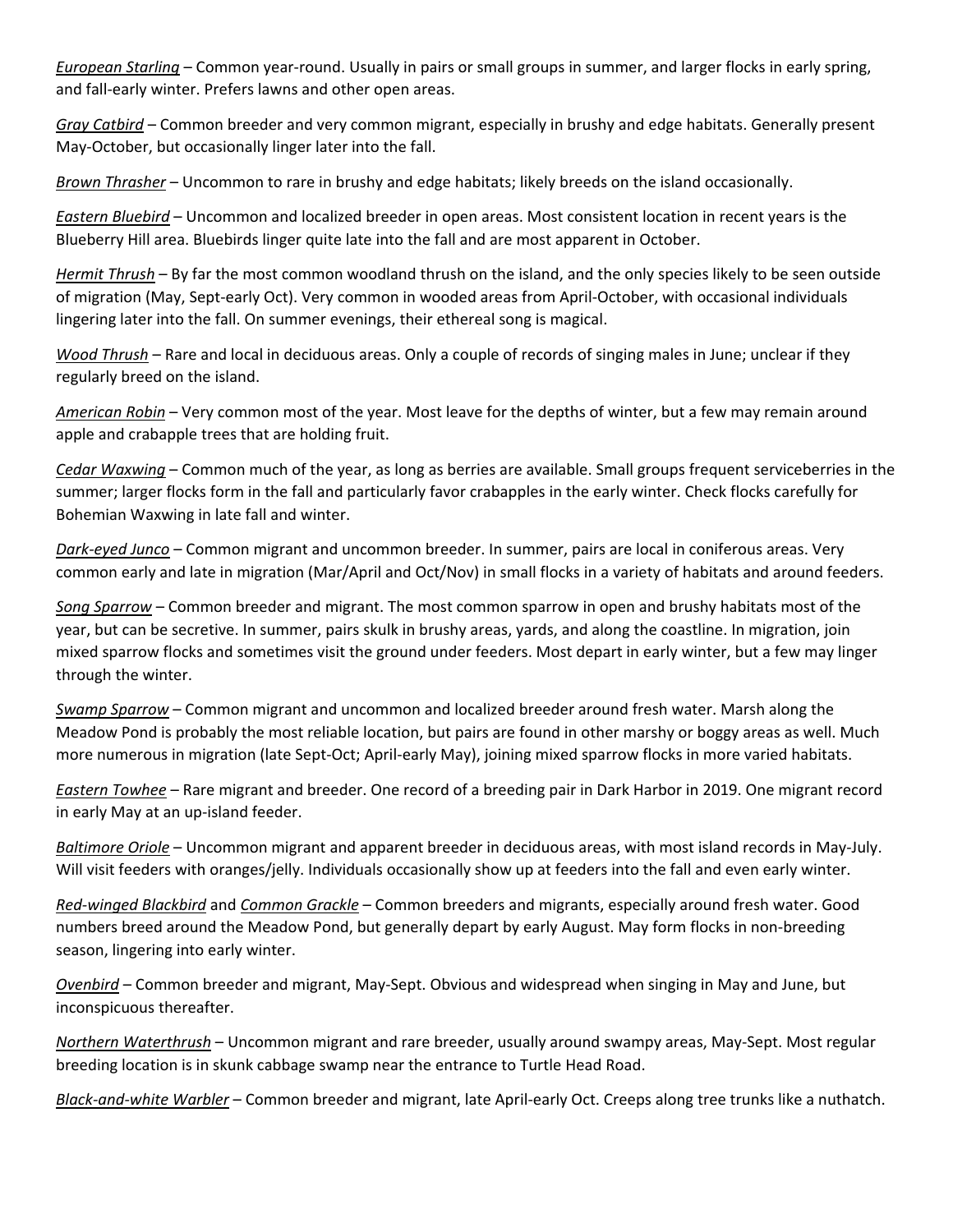*European Starling* – Common year‐round. Usually in pairs or small groups in summer, and larger flocks in early spring, and fall-early winter. Prefers lawns and other open areas.

*Gray Catbird* – Common breeder and very common migrant, especially in brushy and edge habitats. Generally present May‐October, but occasionally linger later into the fall.

*Brown Thrasher* – Uncommon to rare in brushy and edge habitats; likely breeds on the island occasionally.

*Eastern Bluebird* – Uncommon and localized breeder in open areas. Most consistent location in recent years is the Blueberry Hill area. Bluebirds linger quite late into the fall and are most apparent in October.

*Hermit Thrush* – By far the most common woodland thrush on the island, and the only species likely to be seen outside of migration (May, Sept‐early Oct). Very common in wooded areas from April‐October, with occasional individuals lingering later into the fall. On summer evenings, their ethereal song is magical.

*Wood Thrush* – Rare and local in deciduous areas. Only a couple of records of singing males in June; unclear if they regularly breed on the island.

*American Robin* – Very common most of the year. Most leave for the depths of winter, but a few may remain around apple and crabapple trees that are holding fruit.

*Cedar Waxwing* – Common much of the year, as long as berries are available. Small groups frequent serviceberries in the summer; larger flocks form in the fall and particularly favor crabapples in the early winter. Check flocks carefully for Bohemian Waxwing in late fall and winter.

*Dark‐eyed Junco* – Common migrant and uncommon breeder. In summer, pairs are local in coniferous areas. Very common early and late in migration (Mar/April and Oct/Nov) in small flocks in a variety of habitats and around feeders.

*Song Sparrow* – Common breeder and migrant. The most common sparrow in open and brushy habitats most of the year, but can be secretive. In summer, pairs skulk in brushy areas, yards, and along the coastline. In migration, join mixed sparrow flocks and sometimes visit the ground under feeders. Most depart in early winter, but a few may linger through the winter.

*Swamp Sparrow* – Common migrant and uncommon and localized breeder around fresh water. Marsh along the Meadow Pond is probably the most reliable location, but pairs are found in other marshy or boggy areas as well. Much more numerous in migration (late Sept‐Oct; April‐early May), joining mixed sparrow flocks in more varied habitats.

*Eastern Towhee* – Rare migrant and breeder. One record of a breeding pair in Dark Harbor in 2019. One migrant record in early May at an up-island feeder.

*Baltimore Oriole* – Uncommon migrant and apparent breeder in deciduous areas, with most island records in May‐July. Will visit feeders with oranges/jelly. Individuals occasionally show up at feeders into the fall and even early winter.

*Red‐winged Blackbird* and *Common Grackle* – Common breeders and migrants, especially around fresh water. Good numbers breed around the Meadow Pond, but generally depart by early August. May form flocks in non‐breeding season, lingering into early winter.

*Ovenbird* – Common breeder and migrant, May‐Sept. Obvious and widespread when singing in May and June, but inconspicuous thereafter.

*Northern Waterthrush* – Uncommon migrant and rare breeder, usually around swampy areas, May‐Sept. Most regular breeding location is in skunk cabbage swamp near the entrance to Turtle Head Road.

*Black‐and‐white Warbler* – Common breeder and migrant, late April‐early Oct. Creeps along tree trunks like a nuthatch.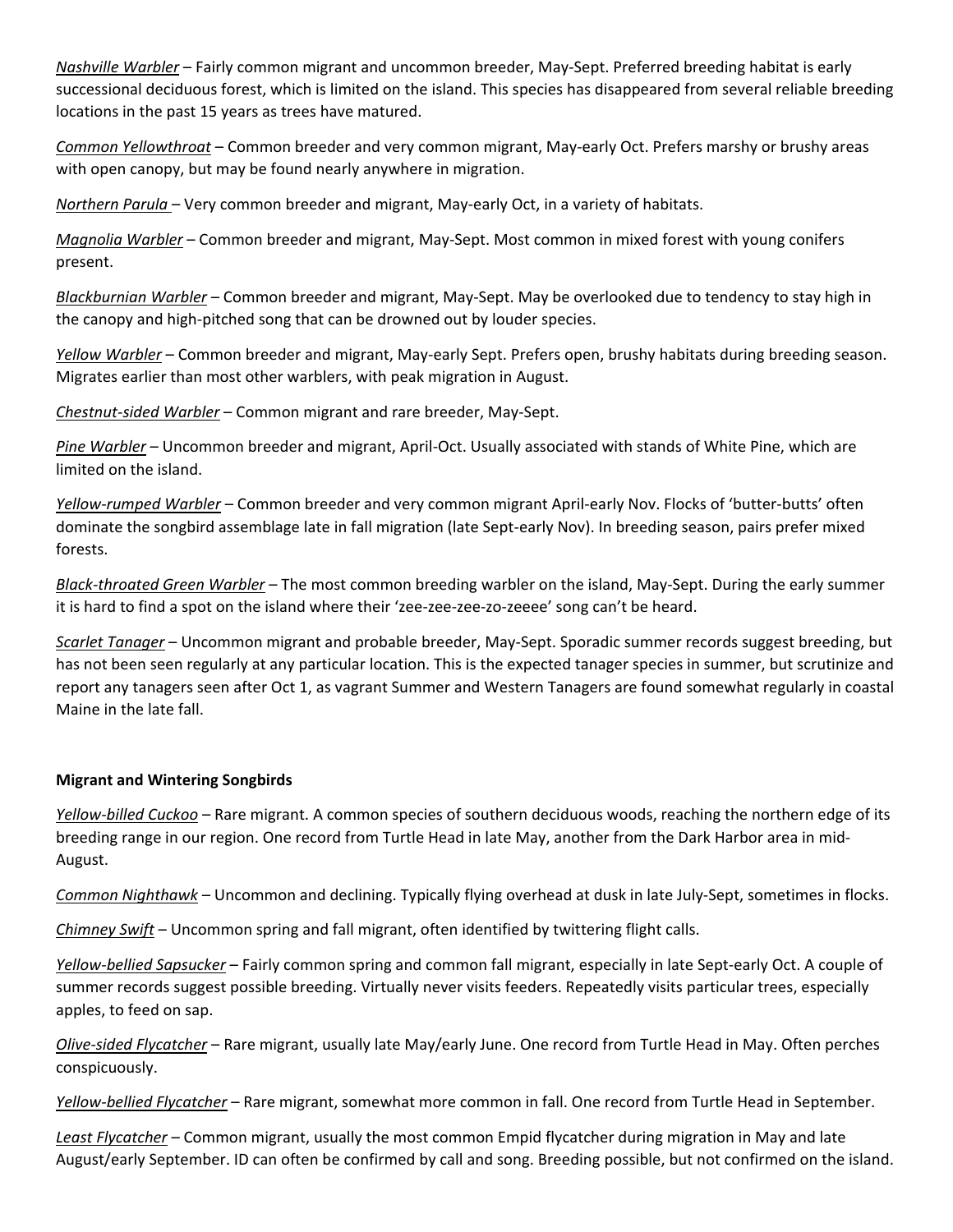*Nashville Warbler* – Fairly common migrant and uncommon breeder, May‐Sept. Preferred breeding habitat is early successional deciduous forest, which is limited on the island. This species has disappeared from several reliable breeding locations in the past 15 years as trees have matured.

*Common Yellowthroat* – Common breeder and very common migrant, May‐early Oct. Prefers marshy or brushy areas with open canopy, but may be found nearly anywhere in migration.

*Northern Parula* – Very common breeder and migrant, May‐early Oct, in a variety of habitats.

*Magnolia Warbler* – Common breeder and migrant, May‐Sept. Most common in mixed forest with young conifers present.

*Blackburnian Warbler* – Common breeder and migrant, May‐Sept. May be overlooked due to tendency to stay high in the canopy and high‐pitched song that can be drowned out by louder species.

*Yellow Warbler* – Common breeder and migrant, May‐early Sept. Prefers open, brushy habitats during breeding season. Migrates earlier than most other warblers, with peak migration in August.

*Chestnut‐sided Warbler* – Common migrant and rare breeder, May‐Sept.

*Pine Warbler* – Uncommon breeder and migrant, April‐Oct. Usually associated with stands of White Pine, which are limited on the island.

*Yellow‐rumped Warbler* – Common breeder and very common migrant April‐early Nov. Flocks of 'butter‐butts' often dominate the songbird assemblage late in fall migration (late Sept‐early Nov). In breeding season, pairs prefer mixed forests.

*Black‐throated Green Warbler* – The most common breeding warbler on the island, May‐Sept. During the early summer it is hard to find a spot on the island where their 'zee-zee-ze-zo-zeeee' song can't be heard.

*Scarlet Tanager* – Uncommon migrant and probable breeder, May‐Sept. Sporadic summer records suggest breeding, but has not been seen regularly at any particular location. This is the expected tanager species in summer, but scrutinize and report any tanagers seen after Oct 1, as vagrant Summer and Western Tanagers are found somewhat regularly in coastal Maine in the late fall.

#### **Migrant and Wintering Songbirds**

*Yellow‐billed Cuckoo* – Rare migrant. A common species of southern deciduous woods, reaching the northern edge of its breeding range in our region. One record from Turtle Head in late May, another from the Dark Harbor area in mid‐ August.

*Common Nighthawk* – Uncommon and declining. Typically flying overhead at dusk in late July‐Sept, sometimes in flocks.

*Chimney Swift* – Uncommon spring and fall migrant, often identified by twittering flight calls.

*Yellow‐bellied Sapsucker* – Fairly common spring and common fall migrant, especially in late Sept‐early Oct. A couple of summer records suggest possible breeding. Virtually never visits feeders. Repeatedly visits particular trees, especially apples, to feed on sap.

*Olive‐sided Flycatcher* – Rare migrant, usually late May/early June. One record from Turtle Head in May. Often perches conspicuously.

*Yellow‐bellied Flycatcher* – Rare migrant, somewhat more common in fall. One record from Turtle Head in September.

*Least Flycatcher* – Common migrant, usually the most common Empid flycatcher during migration in May and late August/early September. ID can often be confirmed by call and song. Breeding possible, but not confirmed on the island.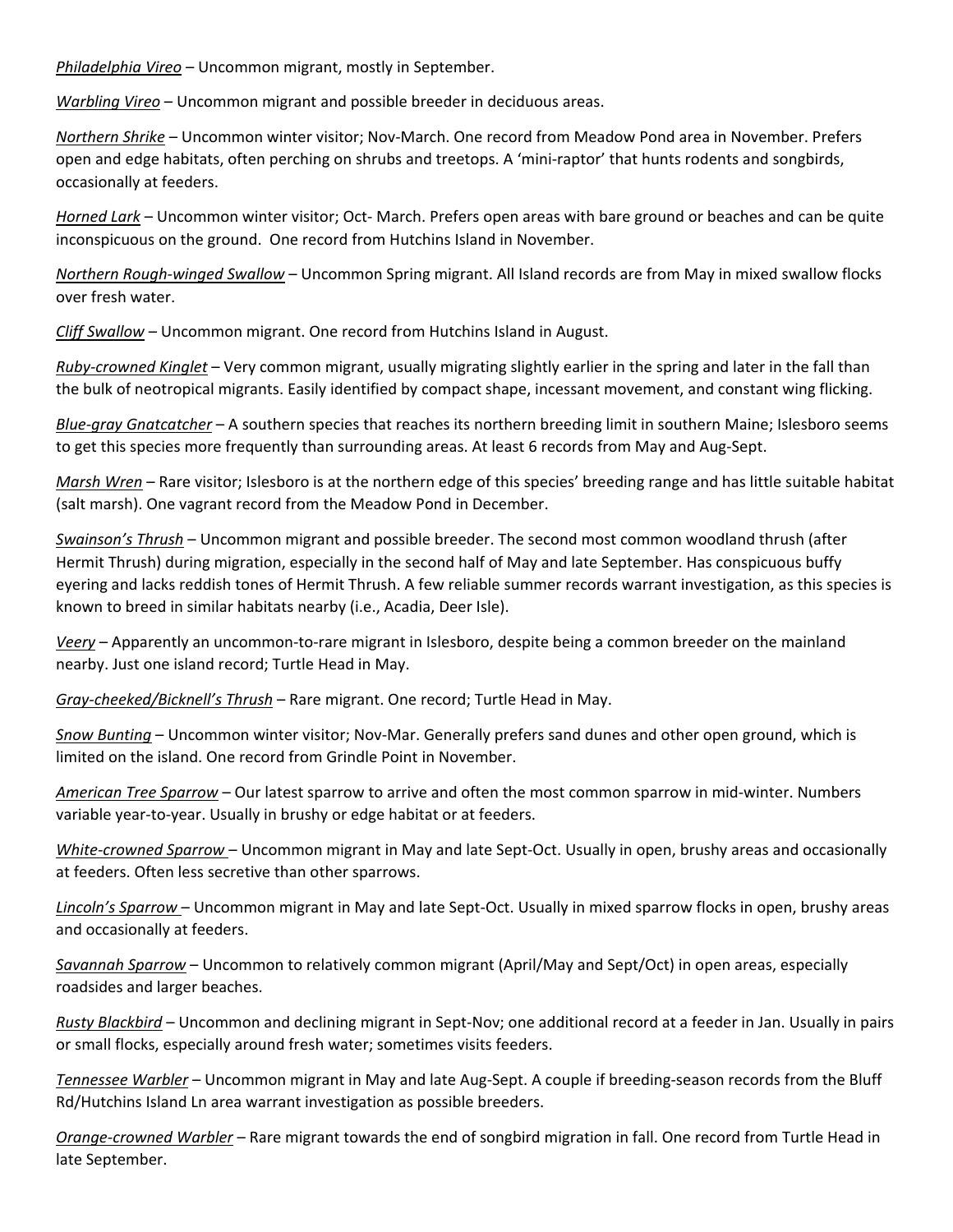*Philadelphia Vireo* – Uncommon migrant, mostly in September.

*Warbling Vireo* – Uncommon migrant and possible breeder in deciduous areas.

*Northern Shrike* – Uncommon winter visitor; Nov‐March. One record from Meadow Pond area in November. Prefers open and edge habitats, often perching on shrubs and treetops. A 'mini‐raptor' that hunts rodents and songbirds, occasionally at feeders.

*Horned Lark* – Uncommon winter visitor; Oct‐ March. Prefers open areas with bare ground or beaches and can be quite inconspicuous on the ground. One record from Hutchins Island in November.

*Northern Rough‐winged Swallow* – Uncommon Spring migrant. All Island records are from May in mixed swallow flocks over fresh water.

*Cliff Swallow* – Uncommon migrant. One record from Hutchins Island in August.

*Ruby‐crowned Kinglet* – Very common migrant, usually migrating slightly earlier in the spring and later in the fall than the bulk of neotropical migrants. Easily identified by compact shape, incessant movement, and constant wing flicking.

*Blue‐gray Gnatcatcher* – A southern species that reaches its northern breeding limit in southern Maine; Islesboro seems to get this species more frequently than surrounding areas. At least 6 records from May and Aug‐Sept.

*Marsh Wren* – Rare visitor; Islesboro is at the northern edge of this species' breeding range and has little suitable habitat (salt marsh). One vagrant record from the Meadow Pond in December.

*Swainson's Thrush* – Uncommon migrant and possible breeder. The second most common woodland thrush (after Hermit Thrush) during migration, especially in the second half of May and late September. Has conspicuous buffy eyering and lacks reddish tones of Hermit Thrush. A few reliable summer records warrant investigation, as this species is known to breed in similar habitats nearby (i.e., Acadia, Deer Isle).

*Veery* – Apparently an uncommon‐to‐rare migrant in Islesboro, despite being a common breeder on the mainland nearby. Just one island record; Turtle Head in May.

*Gray‐cheeked/Bicknell's Thrush* – Rare migrant. One record; Turtle Head in May.

*Snow Bunting* – Uncommon winter visitor; Nov‐Mar. Generally prefers sand dunes and other open ground, which is limited on the island. One record from Grindle Point in November.

*American Tree Sparrow* – Our latest sparrow to arrive and often the most common sparrow in mid‐winter. Numbers variable year‐to‐year. Usually in brushy or edge habitat or at feeders.

*White‐crowned Sparrow* – Uncommon migrant in May and late Sept‐Oct. Usually in open, brushy areas and occasionally at feeders. Often less secretive than other sparrows.

*Lincoln's Sparrow* – Uncommon migrant in May and late Sept‐Oct. Usually in mixed sparrow flocks in open, brushy areas and occasionally at feeders.

*Savannah Sparrow* – Uncommon to relatively common migrant (April/May and Sept/Oct) in open areas, especially roadsides and larger beaches.

*Rusty Blackbird* – Uncommon and declining migrant in Sept‐Nov; one additional record at a feeder in Jan. Usually in pairs or small flocks, especially around fresh water; sometimes visits feeders.

*Tennessee Warbler* – Uncommon migrant in May and late Aug‐Sept. A couple if breeding‐season records from the Bluff Rd/Hutchins Island Ln area warrant investigation as possible breeders.

*Orange‐crowned Warbler* – Rare migrant towards the end of songbird migration in fall. One record from Turtle Head in late September.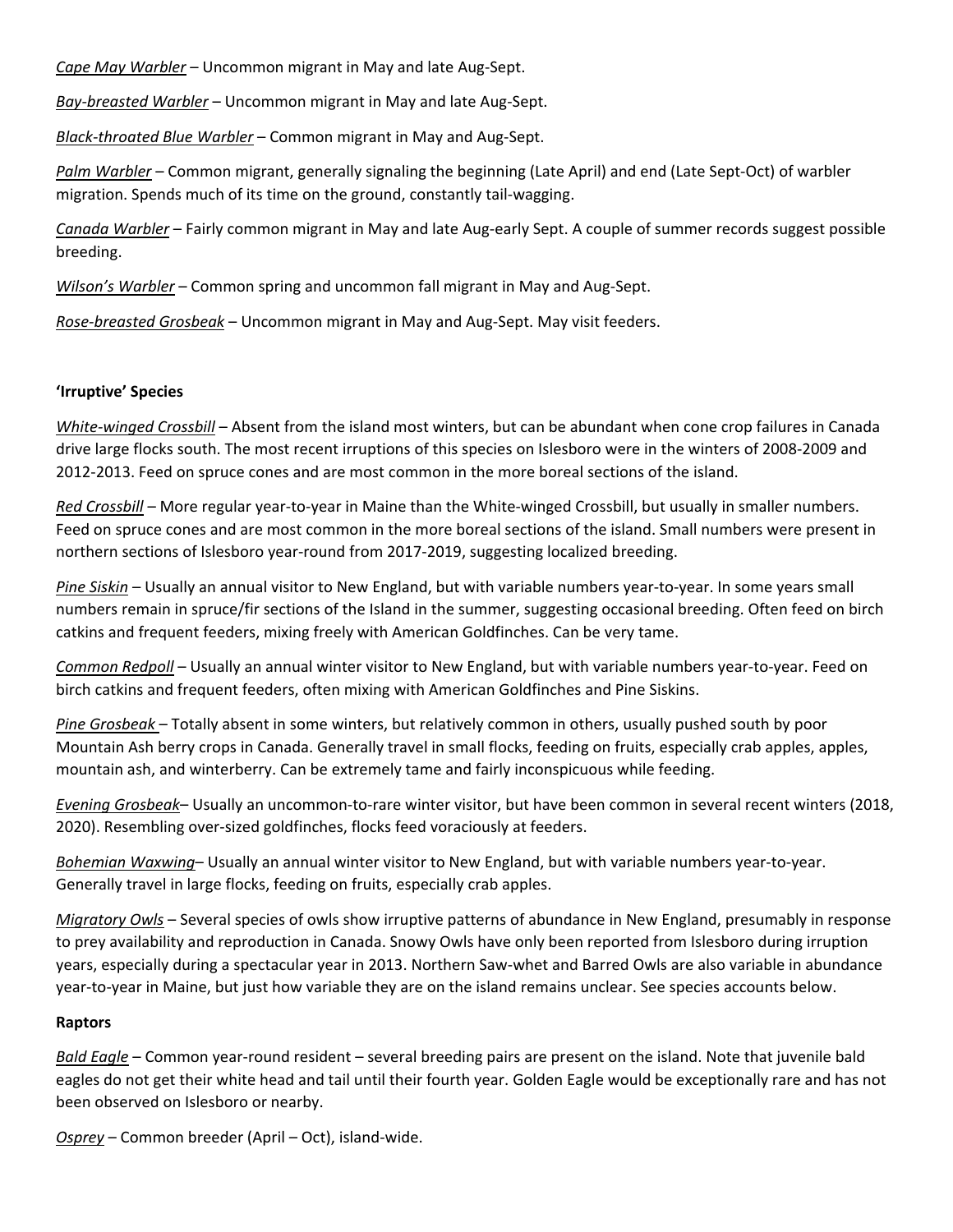*Cape May Warbler* – Uncommon migrant in May and late Aug‐Sept.

*Bay‐breasted Warbler* – Uncommon migrant in May and late Aug‐Sept.

*Black‐throated Blue Warbler* – Common migrant in May and Aug‐Sept.

*Palm Warbler* – Common migrant, generally signaling the beginning (Late April) and end (Late Sept‐Oct) of warbler migration. Spends much of its time on the ground, constantly tail‐wagging.

*Canada Warbler* – Fairly common migrant in May and late Aug‐early Sept. A couple of summer records suggest possible breeding.

*Wilson's Warbler* – Common spring and uncommon fall migrant in May and Aug‐Sept.

*Rose‐breasted Grosbeak* – Uncommon migrant in May and Aug‐Sept. May visit feeders.

#### **'Irruptive' Species**

*White‐winged Crossbill* – Absent from the island most winters, but can be abundant when cone crop failures in Canada drive large flocks south. The most recent irruptions of this species on Islesboro were in the winters of 2008‐2009 and 2012‐2013. Feed on spruce cones and are most common in the more boreal sections of the island.

*Red Crossbill* – More regular year‐to‐year in Maine than the White‐winged Crossbill, but usually in smaller numbers. Feed on spruce cones and are most common in the more boreal sections of the island. Small numbers were present in northern sections of Islesboro year‐round from 2017‐2019, suggesting localized breeding.

*Pine Siskin* – Usually an annual visitor to New England, but with variable numbers year‐to‐year. In some years small numbers remain in spruce/fir sections of the Island in the summer, suggesting occasional breeding. Often feed on birch catkins and frequent feeders, mixing freely with American Goldfinches. Can be very tame.

*Common Redpoll* – Usually an annual winter visitor to New England, but with variable numbers year‐to‐year. Feed on birch catkins and frequent feeders, often mixing with American Goldfinches and Pine Siskins.

*Pine Grosbeak* – Totally absent in some winters, but relatively common in others, usually pushed south by poor Mountain Ash berry crops in Canada. Generally travel in small flocks, feeding on fruits, especially crab apples, apples, mountain ash, and winterberry. Can be extremely tame and fairly inconspicuous while feeding.

*Evening Grosbeak*– Usually an uncommon‐to‐rare winter visitor, but have been common in several recent winters (2018, 2020). Resembling over‐sized goldfinches, flocks feed voraciously at feeders.

*Bohemian Waxwing*– Usually an annual winter visitor to New England, but with variable numbers year‐to‐year. Generally travel in large flocks, feeding on fruits, especially crab apples.

*Migratory Owls* – Several species of owls show irruptive patterns of abundance in New England, presumably in response to prey availability and reproduction in Canada. Snowy Owls have only been reported from Islesboro during irruption years, especially during a spectacular year in 2013. Northern Saw‐whet and Barred Owls are also variable in abundance year-to-year in Maine, but just how variable they are on the island remains unclear. See species accounts below.

#### **Raptors**

*Bald Eagle* – Common year‐round resident – several breeding pairs are present on the island. Note that juvenile bald eagles do not get their white head and tail until their fourth year. Golden Eagle would be exceptionally rare and has not been observed on Islesboro or nearby.

*Osprey* – Common breeder (April – Oct), island‐wide.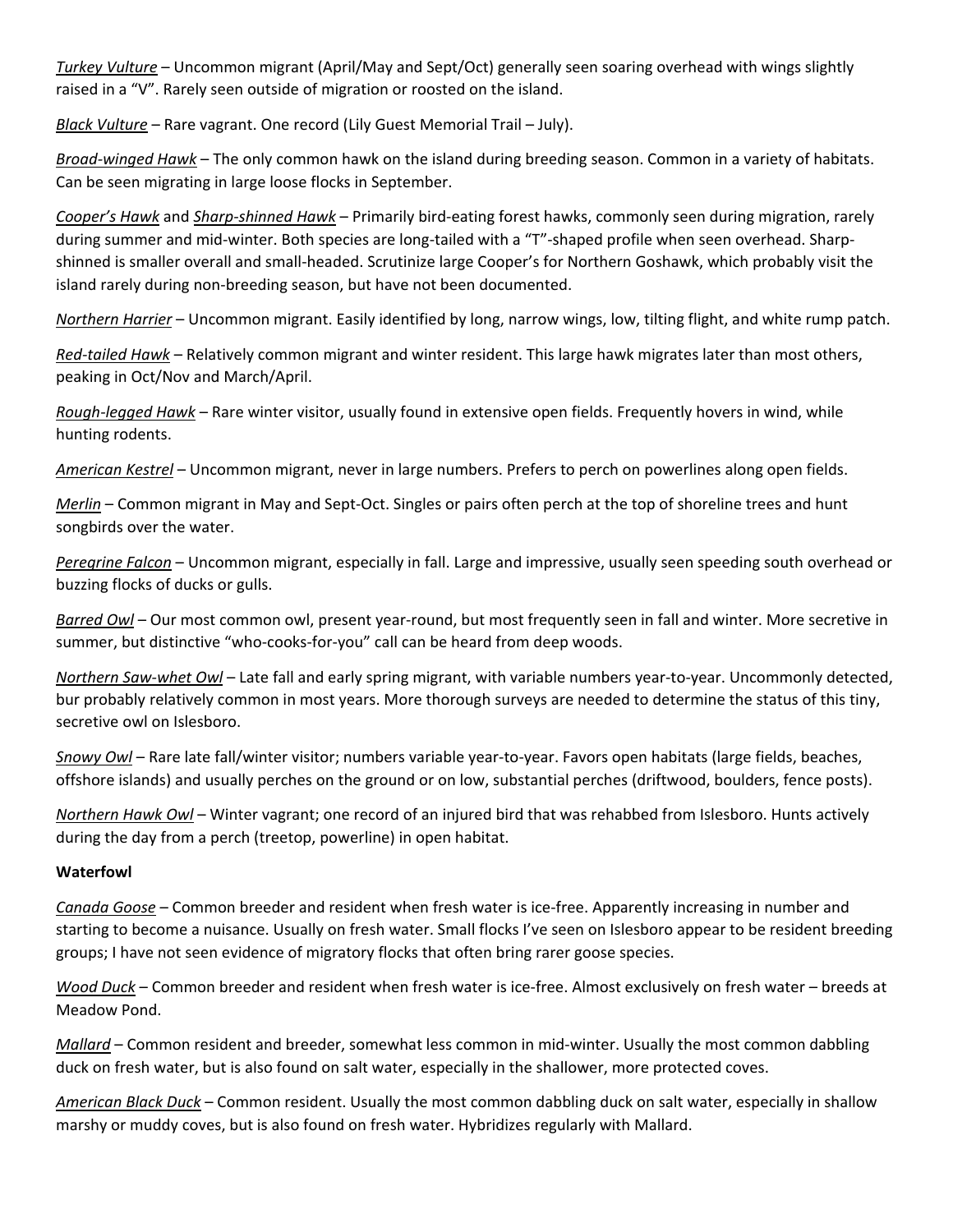*Turkey Vulture* – Uncommon migrant (April/May and Sept/Oct) generally seen soaring overhead with wings slightly raised in a "V". Rarely seen outside of migration or roosted on the island.

*Black Vulture* – Rare vagrant. One record (Lily Guest Memorial Trail – July).

*Broad‐winged Hawk* – The only common hawk on the island during breeding season. Common in a variety of habitats. Can be seen migrating in large loose flocks in September.

*Cooper's Hawk* and *Sharp‐shinned Hawk* – Primarily bird‐eating forest hawks, commonly seen during migration, rarely during summer and mid-winter. Both species are long-tailed with a "T"-shaped profile when seen overhead. Sharpshinned is smaller overall and small‐headed. Scrutinize large Cooper's for Northern Goshawk, which probably visit the island rarely during non‐breeding season, but have not been documented.

*Northern Harrier* – Uncommon migrant. Easily identified by long, narrow wings, low, tilting flight, and white rump patch.

*Red‐tailed Hawk* – Relatively common migrant and winter resident. This large hawk migrates later than most others, peaking in Oct/Nov and March/April.

*Rough‐legged Hawk* – Rare winter visitor, usually found in extensive open fields. Frequently hovers in wind, while hunting rodents.

*American Kestrel* – Uncommon migrant, never in large numbers. Prefers to perch on powerlines along open fields.

*Merlin* – Common migrant in May and Sept‐Oct. Singles or pairs often perch at the top of shoreline trees and hunt songbirds over the water.

*Peregrine Falcon* – Uncommon migrant, especially in fall. Large and impressive, usually seen speeding south overhead or buzzing flocks of ducks or gulls.

*Barred Owl* – Our most common owl, present year‐round, but most frequently seen in fall and winter. More secretive in summer, but distinctive "who-cooks-for-you" call can be heard from deep woods.

*Northern Saw‐whet Owl* – Late fall and early spring migrant, with variable numbers year‐to‐year. Uncommonly detected, bur probably relatively common in most years. More thorough surveys are needed to determine the status of this tiny, secretive owl on Islesboro.

*Snowy Owl* – Rare late fall/winter visitor; numbers variable year‐to‐year. Favors open habitats (large fields, beaches, offshore islands) and usually perches on the ground or on low, substantial perches (driftwood, boulders, fence posts).

*Northern Hawk Owl* – Winter vagrant; one record of an injured bird that was rehabbed from Islesboro. Hunts actively during the day from a perch (treetop, powerline) in open habitat.

### **Waterfowl**

*Canada Goose* – Common breeder and resident when fresh water is ice‐free. Apparently increasing in number and starting to become a nuisance. Usually on fresh water. Small flocks I've seen on Islesboro appear to be resident breeding groups; I have not seen evidence of migratory flocks that often bring rarer goose species.

*Wood Duck* – Common breeder and resident when fresh water is ice‐free. Almost exclusively on fresh water – breeds at Meadow Pond.

*Mallard* – Common resident and breeder, somewhat less common in mid-winter. Usually the most common dabbling duck on fresh water, but is also found on salt water, especially in the shallower, more protected coves.

*American Black Duck* – Common resident. Usually the most common dabbling duck on salt water, especially in shallow marshy or muddy coves, but is also found on fresh water. Hybridizes regularly with Mallard.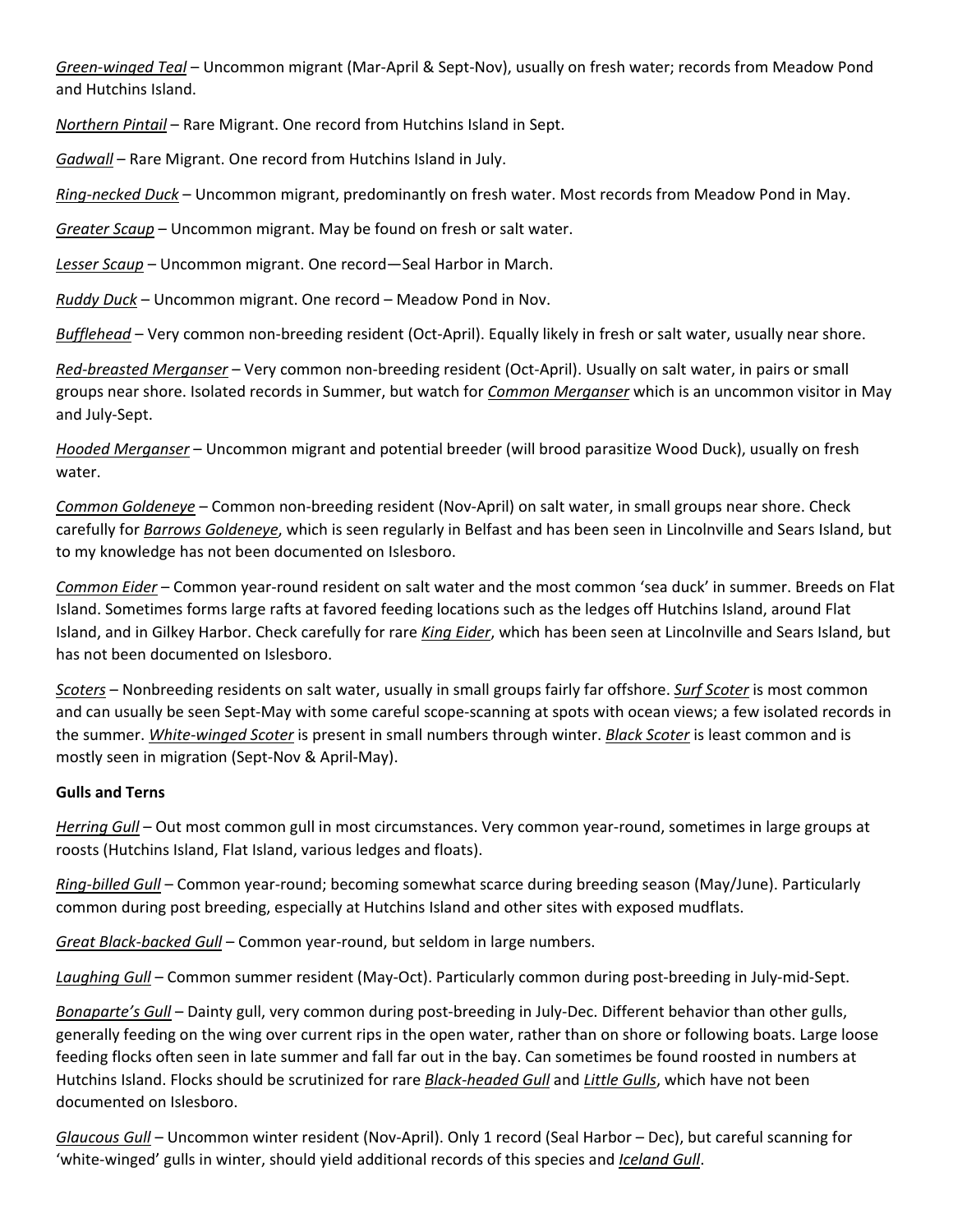*Green‐winged Teal* – Uncommon migrant (Mar‐April & Sept‐Nov), usually on fresh water; records from Meadow Pond and Hutchins Island.

*Northern Pintail* – Rare Migrant. One record from Hutchins Island in Sept.

*Gadwall* – Rare Migrant. One record from Hutchins Island in July.

*Ring‐necked Duck* – Uncommon migrant, predominantly on fresh water. Most records from Meadow Pond in May.

*Greater Scaup* – Uncommon migrant. May be found on fresh or salt water.

*Lesser Scaup* – Uncommon migrant. One record—Seal Harbor in March.

*Ruddy Duck* – Uncommon migrant. One record – Meadow Pond in Nov.

*Bufflehead* – Very common non‐breeding resident (Oct‐April). Equally likely in fresh or salt water, usually near shore.

*Red‐breasted Merganser* – Very common non‐breeding resident (Oct‐April). Usually on salt water, in pairs or small groups near shore. Isolated records in Summer, but watch for *Common Merganser* which is an uncommon visitor in May and July‐Sept.

*Hooded Merganser* – Uncommon migrant and potential breeder (will brood parasitize Wood Duck), usually on fresh water.

*Common Goldeneye* – Common non‐breeding resident (Nov‐April) on salt water, in small groups near shore. Check carefully for *Barrows Goldeneye*, which is seen regularly in Belfast and has been seen in Lincolnville and Sears Island, but to my knowledge has not been documented on Islesboro.

*Common Eider* – Common year‐round resident on salt water and the most common 'sea duck' in summer. Breeds on Flat Island. Sometimes forms large rafts at favored feeding locations such as the ledges off Hutchins Island, around Flat Island, and in Gilkey Harbor. Check carefully for rare *King Eider*, which has been seen at Lincolnville and Sears Island, but has not been documented on Islesboro.

*Scoters* – Nonbreeding residents on salt water, usually in small groups fairly far offshore. *Surf Scoter* is most common and can usually be seen Sept‐May with some careful scope‐scanning at spots with ocean views; a few isolated records in the summer. *White‐winged Scoter* is present in small numbers through winter. *Black Scoter* is least common and is mostly seen in migration (Sept‐Nov & April‐May).

### **Gulls and Terns**

*Herring Gull* – Out most common gull in most circumstances. Very common year-round, sometimes in large groups at roosts (Hutchins Island, Flat Island, various ledges and floats).

*Ring‐billed Gull* – Common year‐round; becoming somewhat scarce during breeding season (May/June). Particularly common during post breeding, especially at Hutchins Island and other sites with exposed mudflats.

*Great Black‐backed Gull* – Common year‐round, but seldom in large numbers.

*Laughing Gull* – Common summer resident (May‐Oct). Particularly common during post‐breeding in July‐mid‐Sept.

*Bonaparte's Gull* – Dainty gull, very common during post‐breeding in July‐Dec. Different behavior than other gulls, generally feeding on the wing over current rips in the open water, rather than on shore or following boats. Large loose feeding flocks often seen in late summer and fall far out in the bay. Can sometimes be found roosted in numbers at Hutchins Island. Flocks should be scrutinized for rare *Black‐headed Gull* and *Little Gulls*, which have not been documented on Islesboro.

*Glaucous Gull* – Uncommon winter resident (Nov‐April). Only 1 record (Seal Harbor – Dec), but careful scanning for 'white‐winged' gulls in winter, should yield additional records of this species and *Iceland Gull*.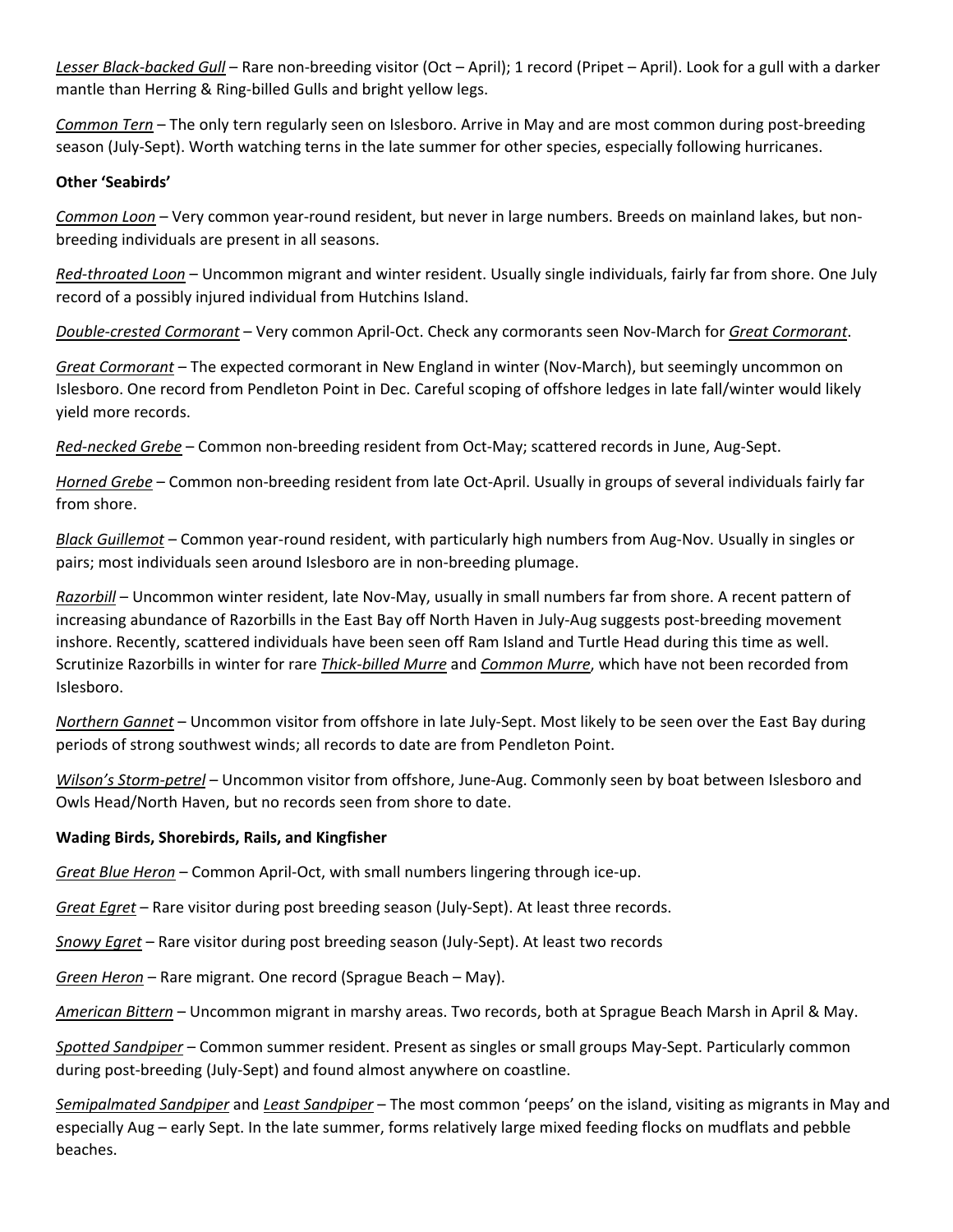*Lesser Black‐backed Gull* – Rare non‐breeding visitor (Oct – April); 1 record (Pripet – April). Look for a gull with a darker mantle than Herring & Ring‐billed Gulls and bright yellow legs.

*Common Tern* – The only tern regularly seen on Islesboro. Arrive in May and are most common during post‐breeding season (July-Sept). Worth watching terns in the late summer for other species, especially following hurricanes.

#### **Other 'Seabirds'**

*Common Loon* – Very common year‐round resident, but never in large numbers. Breeds on mainland lakes, but non‐ breeding individuals are present in all seasons.

*Red‐throated Loon* – Uncommon migrant and winter resident. Usually single individuals, fairly far from shore. One July record of a possibly injured individual from Hutchins Island.

*Double‐crested Cormorant* – Very common April‐Oct. Check any cormorants seen Nov‐March for *Great Cormorant*.

*Great Cormorant* – The expected cormorant in New England in winter (Nov‐March), but seemingly uncommon on Islesboro. One record from Pendleton Point in Dec. Careful scoping of offshore ledges in late fall/winter would likely yield more records.

*Red‐necked Grebe* – Common non‐breeding resident from Oct‐May; scattered records in June, Aug‐Sept.

*Horned Grebe* – Common non‐breeding resident from late Oct‐April. Usually in groups of several individuals fairly far from shore.

*Black Guillemot* – Common year‐round resident, with particularly high numbers from Aug‐Nov. Usually in singles or pairs; most individuals seen around Islesboro are in non‐breeding plumage.

*Razorbill* – Uncommon winter resident, late Nov-May, usually in small numbers far from shore. A recent pattern of increasing abundance of Razorbills in the East Bay off North Haven in July‐Aug suggests post‐breeding movement inshore. Recently, scattered individuals have been seen off Ram Island and Turtle Head during this time as well. Scrutinize Razorbills in winter for rare *Thick‐billed Murre* and *Common Murre*, which have not been recorded from Islesboro.

*Northern Gannet* – Uncommon visitor from offshore in late July‐Sept. Most likely to be seen over the East Bay during periods of strong southwest winds; all records to date are from Pendleton Point.

*Wilson's Storm‐petrel* – Uncommon visitor from offshore, June‐Aug. Commonly seen by boat between Islesboro and Owls Head/North Haven, but no records seen from shore to date.

### **Wading Birds, Shorebirds, Rails, and Kingfisher**

*Great Blue Heron* – Common April‐Oct, with small numbers lingering through ice‐up.

*Great Egret* – Rare visitor during post breeding season (July‐Sept). At least three records.

*Snowy Egret* – Rare visitor during post breeding season (July‐Sept). At least two records

*Green Heron* – Rare migrant. One record (Sprague Beach – May).

*American Bittern* – Uncommon migrant in marshy areas. Two records, both at Sprague Beach Marsh in April & May.

*Spotted Sandpiper* – Common summer resident. Present as singles or small groups May‐Sept. Particularly common during post‐breeding (July‐Sept) and found almost anywhere on coastline.

*Semipalmated Sandpiper* and *Least Sandpiper* – The most common 'peeps' on the island, visiting as migrants in May and especially Aug – early Sept. In the late summer, forms relatively large mixed feeding flocks on mudflats and pebble beaches.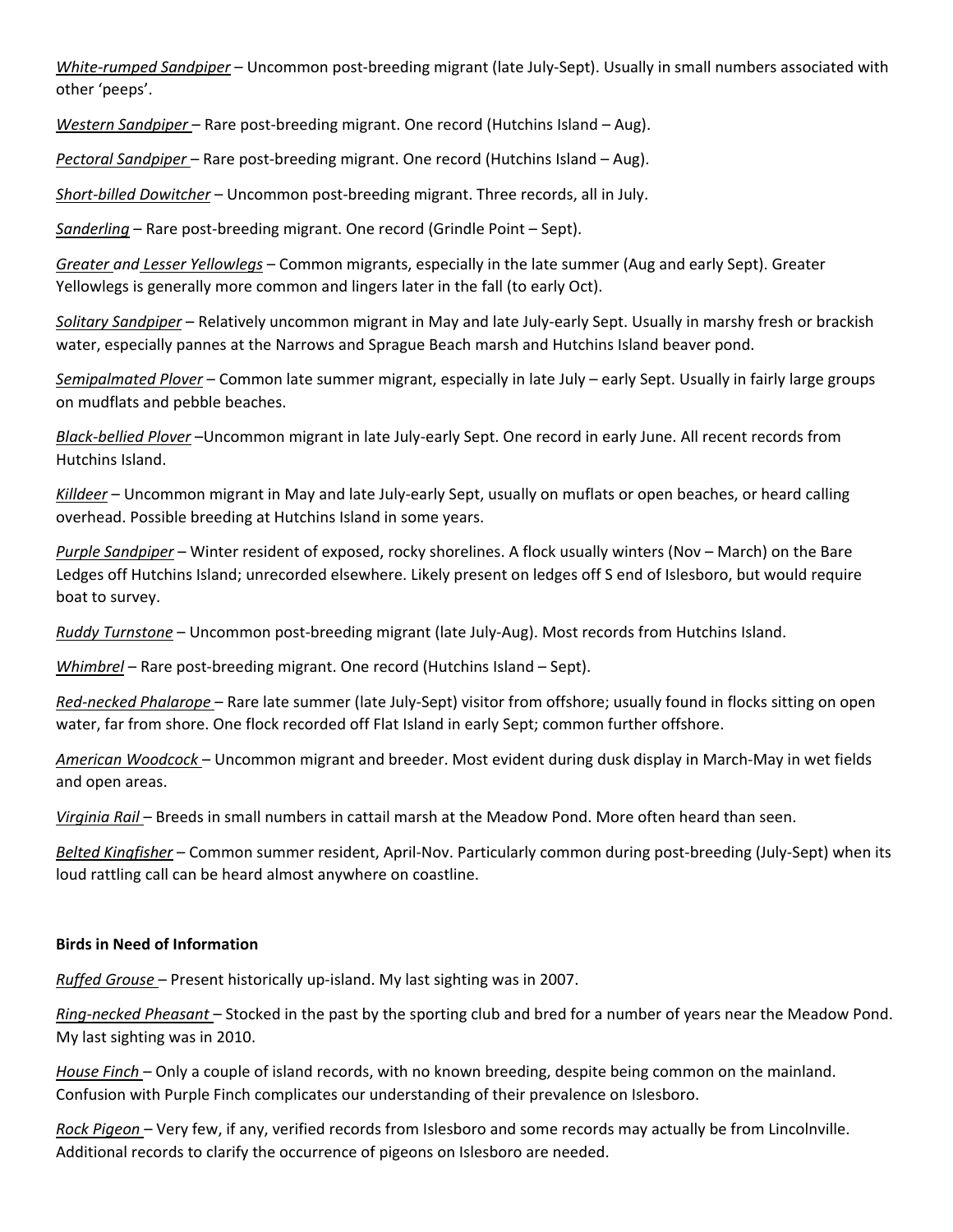*White‐rumped Sandpiper* – Uncommon post‐breeding migrant (late July‐Sept). Usually in small numbers associated with other 'peeps'.

*Western Sandpiper* – Rare post‐breeding migrant. One record (Hutchins Island – Aug).

*Pectoral Sandpiper* – Rare post‐breeding migrant. One record (Hutchins Island – Aug).

*Short‐billed Dowitcher* – Uncommon post‐breeding migrant. Three records, all in July.

*Sanderling* – Rare post‐breeding migrant. One record (Grindle Point – Sept).

*Greater and Lesser Yellowlegs* – Common migrants, especially in the late summer (Aug and early Sept). Greater Yellowlegs is generally more common and lingers later in the fall (to early Oct).

*Solitary Sandpiper* – Relatively uncommon migrant in May and late July‐early Sept. Usually in marshy fresh or brackish water, especially pannes at the Narrows and Sprague Beach marsh and Hutchins Island beaver pond.

*Semipalmated Plover* – Common late summer migrant, especially in late July – early Sept. Usually in fairly large groups on mudflats and pebble beaches.

*Black‐bellied Plover* –Uncommon migrant in late July‐early Sept. One record in early June. All recent records from Hutchins Island.

*Killdeer* – Uncommon migrant in May and late July‐early Sept, usually on muflats or open beaches, or heard calling overhead. Possible breeding at Hutchins Island in some years.

*Purple Sandpiper* – Winter resident of exposed, rocky shorelines. A flock usually winters (Nov – March) on the Bare Ledges off Hutchins Island; unrecorded elsewhere. Likely present on ledges off S end of Islesboro, but would require boat to survey.

*Ruddy Turnstone* – Uncommon post‐breeding migrant (late July‐Aug). Most records from Hutchins Island.

*Whimbrel* – Rare post-breeding migrant. One record (Hutchins Island – Sept).

*Red‐necked Phalarope* – Rare late summer (late July‐Sept) visitor from offshore; usually found in flocks sitting on open water, far from shore. One flock recorded off Flat Island in early Sept; common further offshore.

*American Woodcock* – Uncommon migrant and breeder. Most evident during dusk display in March‐May in wet fields and open areas.

*Virginia Rail* – Breeds in small numbers in cattail marsh at the Meadow Pond. More often heard than seen.

*Belted Kingfisher* – Common summer resident, April‐Nov. Particularly common during post‐breeding (July‐Sept) when its loud rattling call can be heard almost anywhere on coastline.

#### **Birds in Need of Information**

*Ruffed Grouse* – Present historically up‐island. My last sighting was in 2007.

*Ring‐necked Pheasant* – Stocked in the past by the sporting club and bred for a number of years near the Meadow Pond. My last sighting was in 2010.

*House Finch* – Only a couple of island records, with no known breeding, despite being common on the mainland. Confusion with Purple Finch complicates our understanding of their prevalence on Islesboro.

*Rock Pigeon* – Very few, if any, verified records from Islesboro and some records may actually be from Lincolnville. Additional records to clarify the occurrence of pigeons on Islesboro are needed.